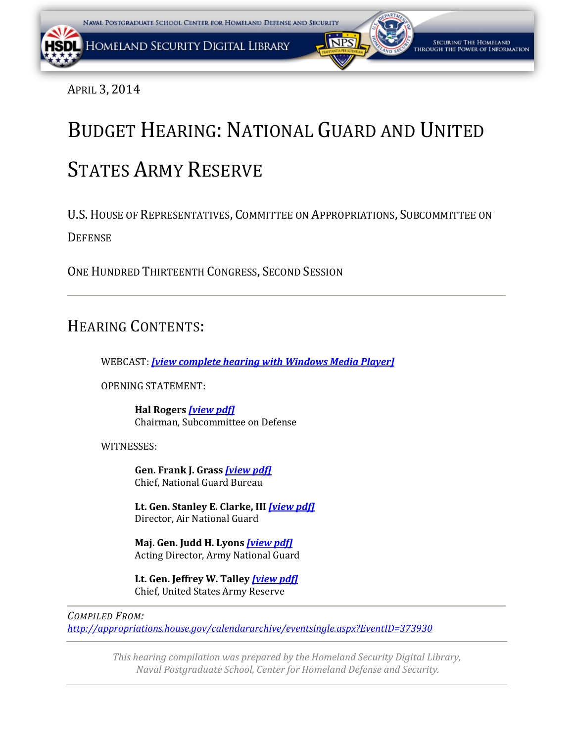APRIL 3, 2014

# BUDGET HEARING: NATIONAL GUARD AND UNITED

# STATES ARMY RESERVE

U.S.HOUSE OF REPRESENTATIVES, COMMITTEE ON APPROPRIATIONS, SUBCOMMITTEE ON **DEFENSE** 

ONE HUNDRED THIRTEENTH CONGRESS, SECOND SESSION

# HEARING CONTENTS:

WEBCAST: *[\[view complete hearing with Windows Media Player\]](http://www.youtube.com/watch?v=zt01UbpXh5U&feature=player_embedded)*

OPENING STATEMENT:

**Hal Rogers** *[\[view pdf\]](#page-1-0)* Chairman, Subcommittee on Defense

WITNESSES:

**Gen. Frank J. Grass** *[\[view pdf\]](#page-2-0)* Chief, National Guard Bureau

**Lt. Gen. Stanley E. Clarke, III** *[\[view pdf\]](#page-21-0)* Director, Air National Guard

**Maj. Gen. Judd H. Lyons** *[\[view pdf\]](#page-40-0)* Acting Director, Army National Guard

**Lt. Gen. Jeffrey W. Talley** *[\[view pdf\]](#page-67-0)* Chief, United States Army Reserve

*COMPILED FROM: <http://appropriations.house.gov/calendararchive/eventsingle.aspx?EventID=373930>*

> *This hearing compilation was prepared by the Homeland Security Digital Library, Naval Postgraduate School, Center for Homeland Defense and Security.*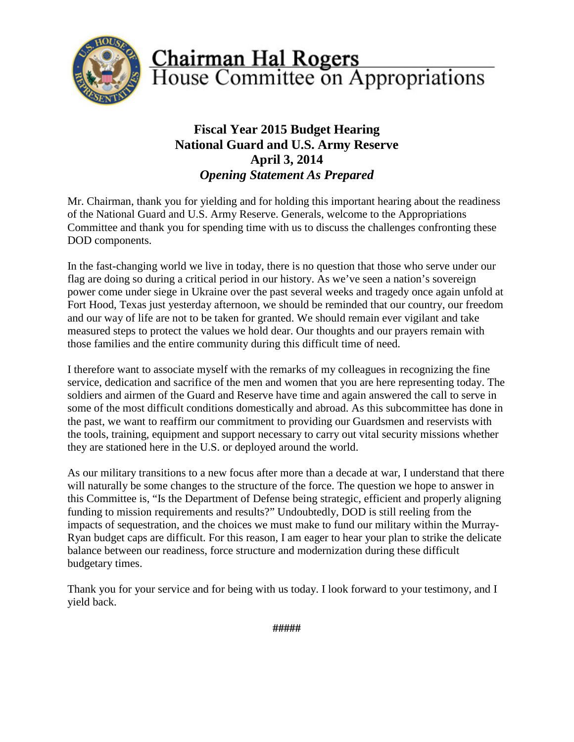<span id="page-1-0"></span>

# **Chairman Hal Rogers**<br>House Committee on Appropriations

# **Fiscal Year 2015 Budget Hearing National Guard and U.S. Army Reserve April 3, 2014** *Opening Statement As Prepared*

Mr. Chairman, thank you for yielding and for holding this important hearing about the readiness of the National Guard and U.S. Army Reserve. Generals, welcome to the Appropriations Committee and thank you for spending time with us to discuss the challenges confronting these DOD components.

In the fast-changing world we live in today, there is no question that those who serve under our flag are doing so during a critical period in our history. As we've seen a nation's sovereign power come under siege in Ukraine over the past several weeks and tragedy once again unfold at Fort Hood, Texas just yesterday afternoon, we should be reminded that our country, our freedom and our way of life are not to be taken for granted. We should remain ever vigilant and take measured steps to protect the values we hold dear. Our thoughts and our prayers remain with those families and the entire community during this difficult time of need.

I therefore want to associate myself with the remarks of my colleagues in recognizing the fine service, dedication and sacrifice of the men and women that you are here representing today. The soldiers and airmen of the Guard and Reserve have time and again answered the call to serve in some of the most difficult conditions domestically and abroad. As this subcommittee has done in the past, we want to reaffirm our commitment to providing our Guardsmen and reservists with the tools, training, equipment and support necessary to carry out vital security missions whether they are stationed here in the U.S. or deployed around the world.

As our military transitions to a new focus after more than a decade at war, I understand that there will naturally be some changes to the structure of the force. The question we hope to answer in this Committee is, "Is the Department of Defense being strategic, efficient and properly aligning funding to mission requirements and results?" Undoubtedly, DOD is still reeling from the impacts of sequestration, and the choices we must make to fund our military within the Murray-Ryan budget caps are difficult. For this reason, I am eager to hear your plan to strike the delicate balance between our readiness, force structure and modernization during these difficult budgetary times.

Thank you for your service and for being with us today. I look forward to your testimony, and I yield back.

**#####**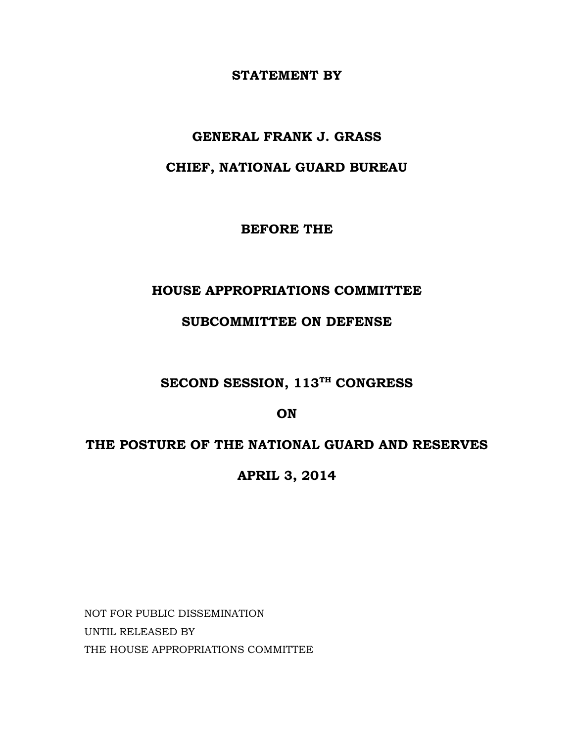#### **STATEMENT BY**

### **GENERAL FRANK J. GRASS**

# <span id="page-2-0"></span>**CHIEF, NATIONAL GUARD BUREAU**

**BEFORE THE**

# **HOUSE APPROPRIATIONS COMMITTEE**

# **SUBCOMMITTEE ON DEFENSE**

# **SECOND SESSION, 113TH CONGRESS**

**ON** 

# **THE POSTURE OF THE NATIONAL GUARD AND RESERVES**

**APRIL 3, 2014**

NOT FOR PUBLIC DISSEMINATION UNTIL RELEASED BY THE HOUSE APPROPRIATIONS COMMITTEE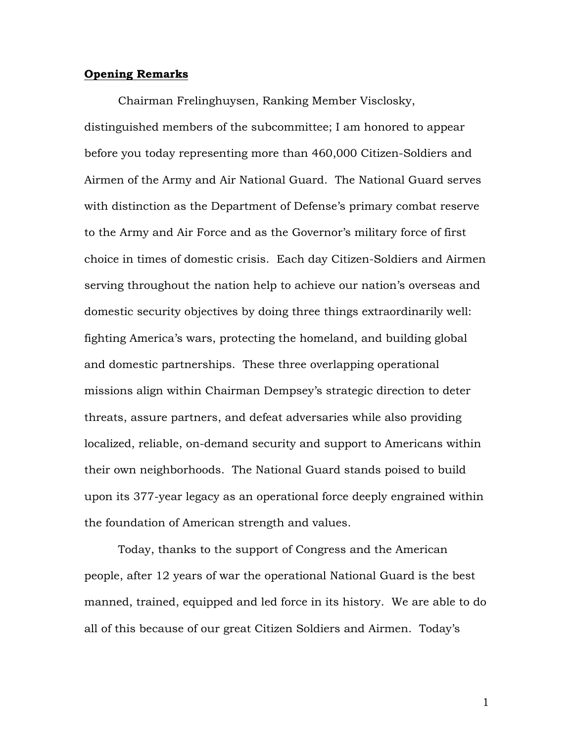#### **Opening Remarks**

Chairman Frelinghuysen, Ranking Member Visclosky, distinguished members of the subcommittee; I am honored to appear before you today representing more than 460,000 Citizen-Soldiers and Airmen of the Army and Air National Guard. The National Guard serves with distinction as the Department of Defense's primary combat reserve to the Army and Air Force and as the Governor's military force of first choice in times of domestic crisis. Each day Citizen-Soldiers and Airmen serving throughout the nation help to achieve our nation's overseas and domestic security objectives by doing three things extraordinarily well: fighting America's wars, protecting the homeland, and building global and domestic partnerships. These three overlapping operational missions align within Chairman Dempsey's strategic direction to deter threats, assure partners, and defeat adversaries while also providing localized, reliable, on-demand security and support to Americans within their own neighborhoods. The National Guard stands poised to build upon its 377-year legacy as an operational force deeply engrained within the foundation of American strength and values.

Today, thanks to the support of Congress and the American people, after 12 years of war the operational National Guard is the best manned, trained, equipped and led force in its history. We are able to do all of this because of our great Citizen Soldiers and Airmen. Today's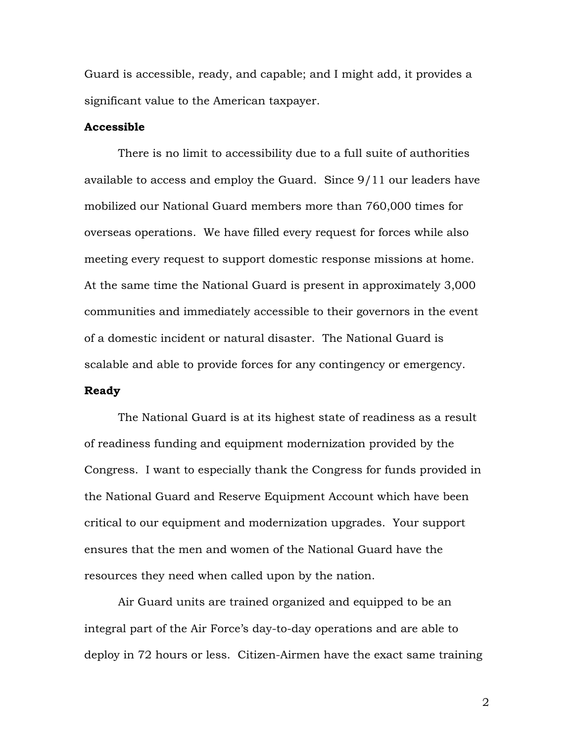Guard is accessible, ready, and capable; and I might add, it provides a significant value to the American taxpayer.

#### **Accessible**

There is no limit to accessibility due to a full suite of authorities available to access and employ the Guard. Since 9/11 our leaders have mobilized our National Guard members more than 760,000 times for overseas operations. We have filled every request for forces while also meeting every request to support domestic response missions at home. At the same time the National Guard is present in approximately 3,000 communities and immediately accessible to their governors in the event of a domestic incident or natural disaster. The National Guard is scalable and able to provide forces for any contingency or emergency.

#### **Ready**

The National Guard is at its highest state of readiness as a result of readiness funding and equipment modernization provided by the Congress. I want to especially thank the Congress for funds provided in the National Guard and Reserve Equipment Account which have been critical to our equipment and modernization upgrades. Your support ensures that the men and women of the National Guard have the resources they need when called upon by the nation.

Air Guard units are trained organized and equipped to be an integral part of the Air Force's day-to-day operations and are able to deploy in 72 hours or less. Citizen-Airmen have the exact same training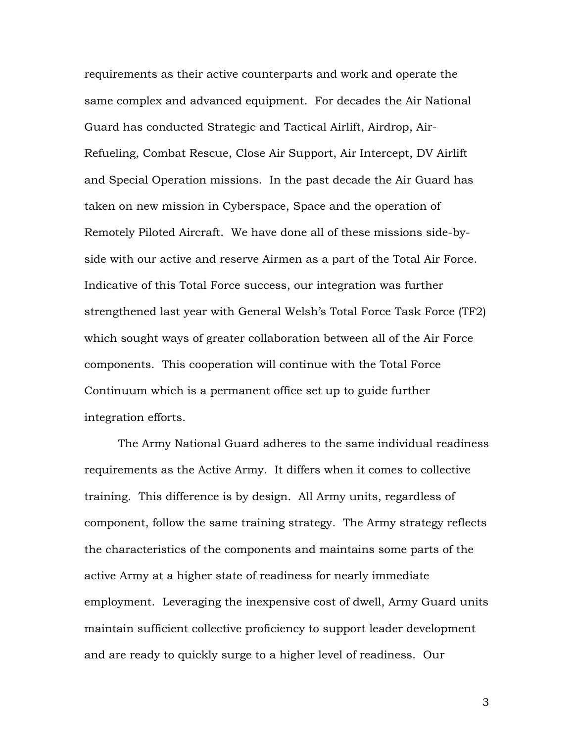requirements as their active counterparts and work and operate the same complex and advanced equipment. For decades the Air National Guard has conducted Strategic and Tactical Airlift, Airdrop, Air-Refueling, Combat Rescue, Close Air Support, Air Intercept, DV Airlift and Special Operation missions. In the past decade the Air Guard has taken on new mission in Cyberspace, Space and the operation of Remotely Piloted Aircraft. We have done all of these missions side-byside with our active and reserve Airmen as a part of the Total Air Force. Indicative of this Total Force success, our integration was further strengthened last year with General Welsh's Total Force Task Force (TF2) which sought ways of greater collaboration between all of the Air Force components. This cooperation will continue with the Total Force Continuum which is a permanent office set up to guide further integration efforts.

The Army National Guard adheres to the same individual readiness requirements as the Active Army. It differs when it comes to collective training. This difference is by design. All Army units, regardless of component, follow the same training strategy. The Army strategy reflects the characteristics of the components and maintains some parts of the active Army at a higher state of readiness for nearly immediate employment. Leveraging the inexpensive cost of dwell, Army Guard units maintain sufficient collective proficiency to support leader development and are ready to quickly surge to a higher level of readiness. Our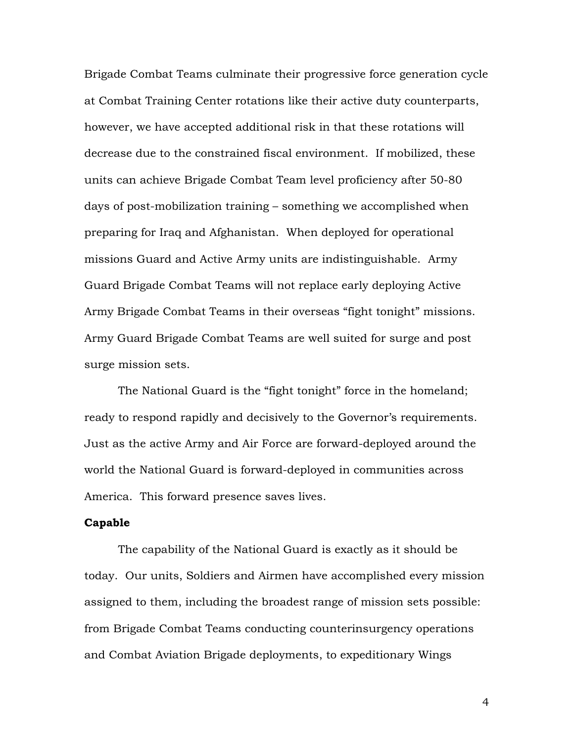Brigade Combat Teams culminate their progressive force generation cycle at Combat Training Center rotations like their active duty counterparts, however, we have accepted additional risk in that these rotations will decrease due to the constrained fiscal environment. If mobilized, these units can achieve Brigade Combat Team level proficiency after 50-80 days of post-mobilization training – something we accomplished when preparing for Iraq and Afghanistan. When deployed for operational missions Guard and Active Army units are indistinguishable. Army Guard Brigade Combat Teams will not replace early deploying Active Army Brigade Combat Teams in their overseas "fight tonight" missions. Army Guard Brigade Combat Teams are well suited for surge and post surge mission sets.

The National Guard is the "fight tonight" force in the homeland; ready to respond rapidly and decisively to the Governor's requirements. Just as the active Army and Air Force are forward-deployed around the world the National Guard is forward-deployed in communities across America. This forward presence saves lives.

#### **Capable**

The capability of the National Guard is exactly as it should be today. Our units, Soldiers and Airmen have accomplished every mission assigned to them, including the broadest range of mission sets possible: from Brigade Combat Teams conducting counterinsurgency operations and Combat Aviation Brigade deployments, to expeditionary Wings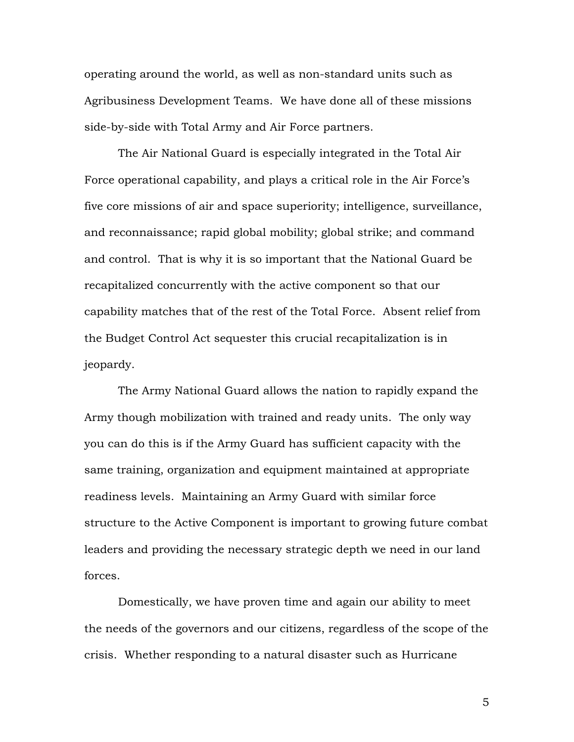operating around the world, as well as non-standard units such as Agribusiness Development Teams. We have done all of these missions side-by-side with Total Army and Air Force partners.

The Air National Guard is especially integrated in the Total Air Force operational capability, and plays a critical role in the Air Force's five core missions of air and space superiority; intelligence, surveillance, and reconnaissance; rapid global mobility; global strike; and command and control. That is why it is so important that the National Guard be recapitalized concurrently with the active component so that our capability matches that of the rest of the Total Force. Absent relief from the Budget Control Act sequester this crucial recapitalization is in jeopardy.

The Army National Guard allows the nation to rapidly expand the Army though mobilization with trained and ready units. The only way you can do this is if the Army Guard has sufficient capacity with the same training, organization and equipment maintained at appropriate readiness levels. Maintaining an Army Guard with similar force structure to the Active Component is important to growing future combat leaders and providing the necessary strategic depth we need in our land forces.

Domestically, we have proven time and again our ability to meet the needs of the governors and our citizens, regardless of the scope of the crisis. Whether responding to a natural disaster such as Hurricane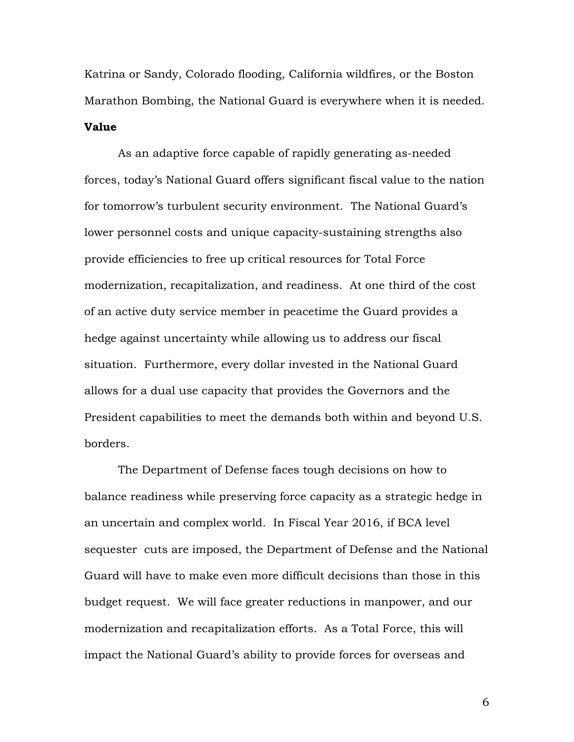Katrina or Sandy, Colorado flooding, California wildfires, or the Boston Marathon Bombing, the National Guard is everywhere when it is needed. **Value**

As an adaptive force capable of rapidly generating as-needed forces, today's National Guard offers significant fiscal value to the nation for tomorrow's turbulent security environment. The National Guard's lower personnel costs and unique capacity-sustaining strengths also provide efficiencies to free up critical resources for Total Force modernization, recapitalization, and readiness. At one third of the cost of an active duty service member in peacetime the Guard provides a hedge against uncertainty while allowing us to address our fiscal situation. Furthermore, every dollar invested in the National Guard allows for a dual use capacity that provides the Governors and the President capabilities to meet the demands both within and beyond U.S. borders.

The Department of Defense faces tough decisions on how to balance readiness while preserving force capacity as a strategic hedge in an uncertain and complex world. In Fiscal Year 2016, if BCA level sequester cuts are imposed, the Department of Defense and the National Guard will have to make even more difficult decisions than those in this budget request. We will face greater reductions in manpower, and our modernization and recapitalization efforts. As a Total Force, this will impact the National Guard's ability to provide forces for overseas and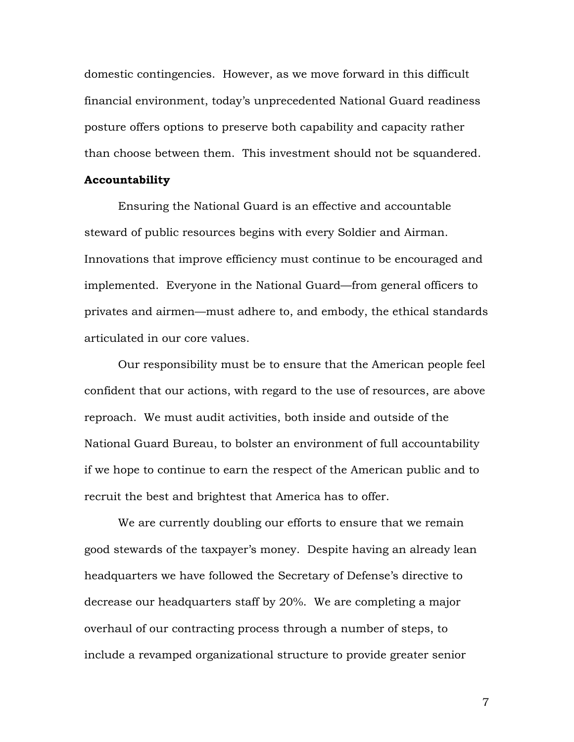domestic contingencies. However, as we move forward in this difficult financial environment, today's unprecedented National Guard readiness posture offers options to preserve both capability and capacity rather than choose between them. This investment should not be squandered.

#### **Accountability**

Ensuring the National Guard is an effective and accountable steward of public resources begins with every Soldier and Airman. Innovations that improve efficiency must continue to be encouraged and implemented. Everyone in the National Guard—from general officers to privates and airmen—must adhere to, and embody, the ethical standards articulated in our core values.

Our responsibility must be to ensure that the American people feel confident that our actions, with regard to the use of resources, are above reproach. We must audit activities, both inside and outside of the National Guard Bureau, to bolster an environment of full accountability if we hope to continue to earn the respect of the American public and to recruit the best and brightest that America has to offer.

We are currently doubling our efforts to ensure that we remain good stewards of the taxpayer's money. Despite having an already lean headquarters we have followed the Secretary of Defense's directive to decrease our headquarters staff by 20%. We are completing a major overhaul of our contracting process through a number of steps, to include a revamped organizational structure to provide greater senior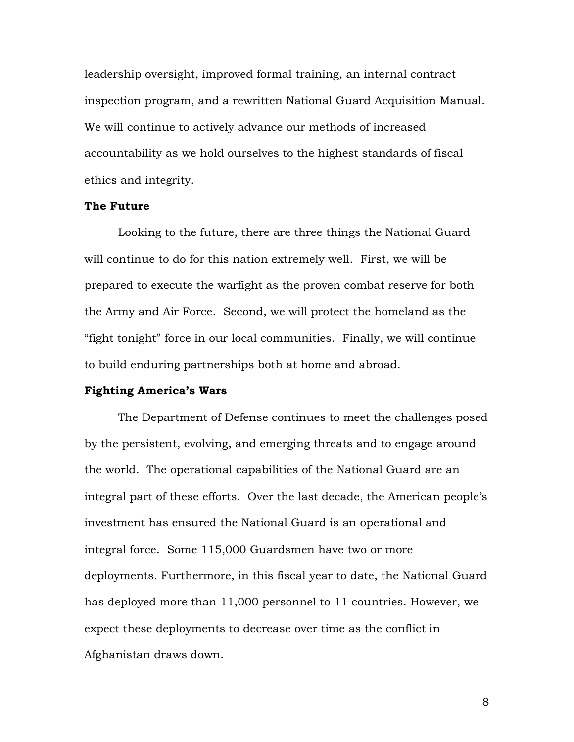leadership oversight, improved formal training, an internal contract inspection program, and a rewritten National Guard Acquisition Manual. We will continue to actively advance our methods of increased accountability as we hold ourselves to the highest standards of fiscal ethics and integrity.

#### **The Future**

Looking to the future, there are three things the National Guard will continue to do for this nation extremely well. First, we will be prepared to execute the warfight as the proven combat reserve for both the Army and Air Force. Second, we will protect the homeland as the "fight tonight" force in our local communities. Finally, we will continue to build enduring partnerships both at home and abroad.

#### **Fighting America's Wars**

The Department of Defense continues to meet the challenges posed by the persistent, evolving, and emerging threats and to engage around the world. The operational capabilities of the National Guard are an integral part of these efforts. Over the last decade, the American people's investment has ensured the National Guard is an operational and integral force. Some 115,000 Guardsmen have two or more deployments. Furthermore, in this fiscal year to date, the National Guard has deployed more than 11,000 personnel to 11 countries. However, we expect these deployments to decrease over time as the conflict in Afghanistan draws down.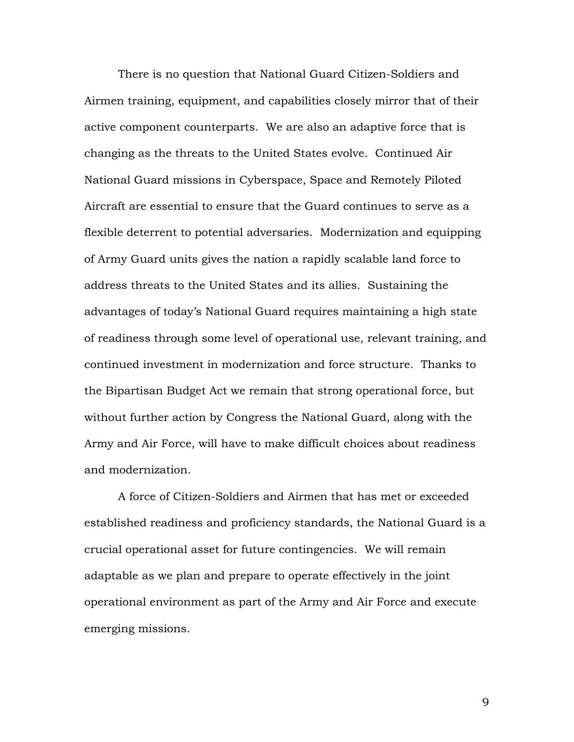There is no question that National Guard Citizen-Soldiers and Airmen training, equipment, and capabilities closely mirror that of their active component counterparts. We are also an adaptive force that is changing as the threats to the United States evolve. Continued Air National Guard missions in Cyberspace, Space and Remotely Piloted Aircraft are essential to ensure that the Guard continues to serve as a flexible deterrent to potential adversaries. Modernization and equipping of Army Guard units gives the nation a rapidly scalable land force to address threats to the United States and its allies. Sustaining the advantages of today's National Guard requires maintaining a high state of readiness through some level of operational use, relevant training, and continued investment in modernization and force structure. Thanks to the Bipartisan Budget Act we remain that strong operational force, but without further action by Congress the National Guard, along with the Army and Air Force, will have to make difficult choices about readiness and modernization.

A force of Citizen-Soldiers and Airmen that has met or exceeded established readiness and proficiency standards, the National Guard is a crucial operational asset for future contingencies. We will remain adaptable as we plan and prepare to operate effectively in the joint operational environment as part of the Army and Air Force and execute emerging missions.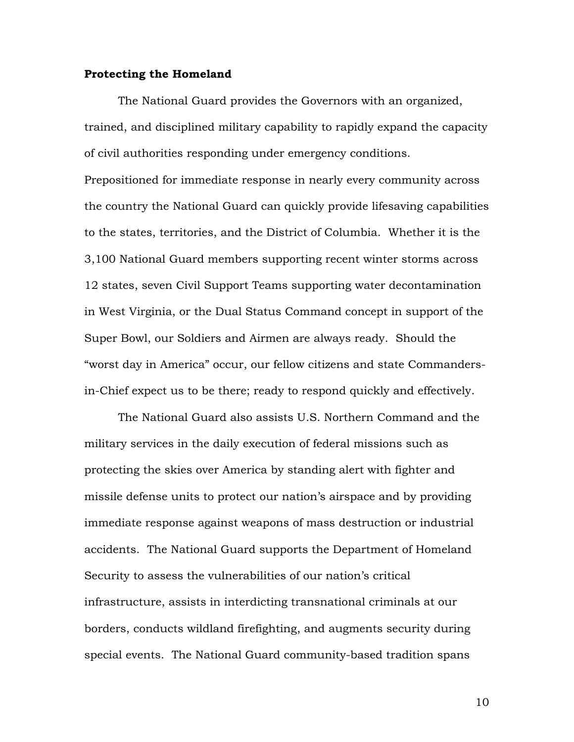#### **Protecting the Homeland**

The National Guard provides the Governors with an organized, trained, and disciplined military capability to rapidly expand the capacity of civil authorities responding under emergency conditions.

Prepositioned for immediate response in nearly every community across the country the National Guard can quickly provide lifesaving capabilities to the states, territories, and the District of Columbia. Whether it is the 3,100 National Guard members supporting recent winter storms across 12 states, seven Civil Support Teams supporting water decontamination in West Virginia, or the Dual Status Command concept in support of the Super Bowl, our Soldiers and Airmen are always ready. Should the "worst day in America" occur, our fellow citizens and state Commandersin-Chief expect us to be there; ready to respond quickly and effectively.

The National Guard also assists U.S. Northern Command and the military services in the daily execution of federal missions such as protecting the skies over America by standing alert with fighter and missile defense units to protect our nation's airspace and by providing immediate response against weapons of mass destruction or industrial accidents. The National Guard supports the Department of Homeland Security to assess the vulnerabilities of our nation's critical infrastructure, assists in interdicting transnational criminals at our borders, conducts wildland firefighting, and augments security during special events. The National Guard community-based tradition spans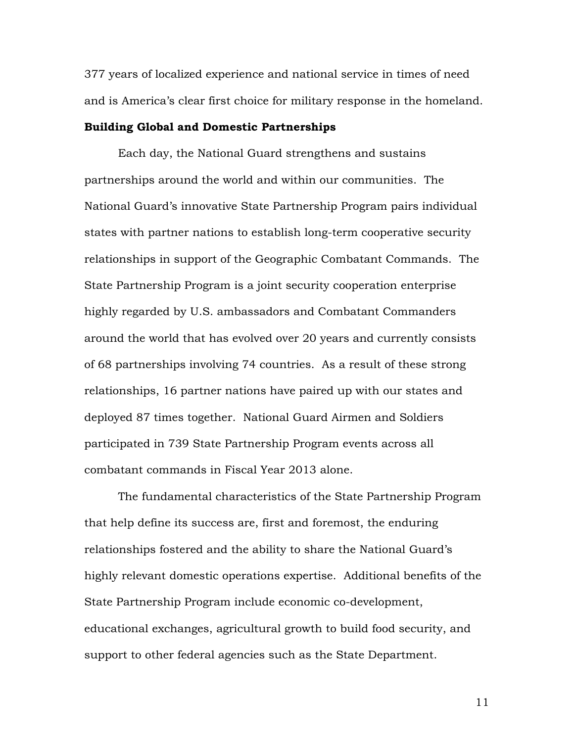377 years of localized experience and national service in times of need and is America's clear first choice for military response in the homeland.

#### **Building Global and Domestic Partnerships**

Each day, the National Guard strengthens and sustains partnerships around the world and within our communities. The National Guard's innovative State Partnership Program pairs individual states with partner nations to establish long-term cooperative security relationships in support of the Geographic Combatant Commands. The State Partnership Program is a joint security cooperation enterprise highly regarded by U.S. ambassadors and Combatant Commanders around the world that has evolved over 20 years and currently consists of 68 partnerships involving 74 countries. As a result of these strong relationships, 16 partner nations have paired up with our states and deployed 87 times together. National Guard Airmen and Soldiers participated in 739 State Partnership Program events across all combatant commands in Fiscal Year 2013 alone.

The fundamental characteristics of the State Partnership Program that help define its success are, first and foremost, the enduring relationships fostered and the ability to share the National Guard's highly relevant domestic operations expertise. Additional benefits of the State Partnership Program include economic co-development, educational exchanges, agricultural growth to build food security, and support to other federal agencies such as the State Department.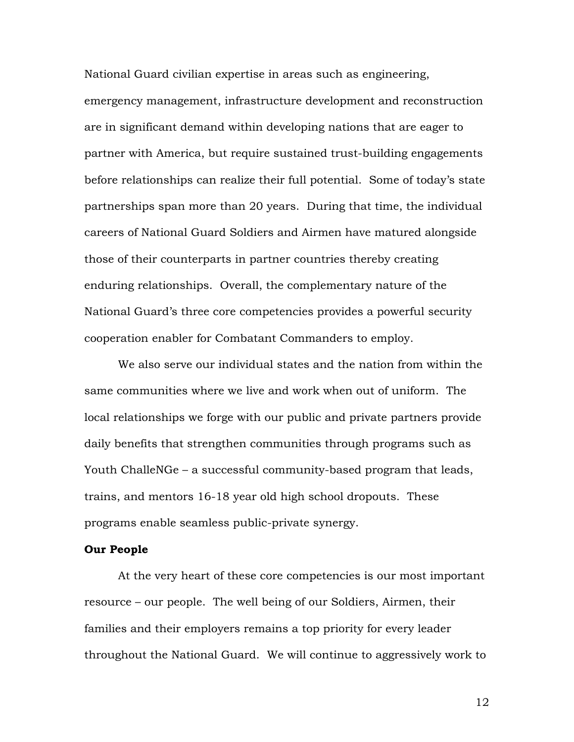National Guard civilian expertise in areas such as engineering, emergency management, infrastructure development and reconstruction are in significant demand within developing nations that are eager to partner with America, but require sustained trust-building engagements before relationships can realize their full potential. Some of today's state partnerships span more than 20 years. During that time, the individual careers of National Guard Soldiers and Airmen have matured alongside those of their counterparts in partner countries thereby creating enduring relationships. Overall, the complementary nature of the National Guard's three core competencies provides a powerful security cooperation enabler for Combatant Commanders to employ.

We also serve our individual states and the nation from within the same communities where we live and work when out of uniform. The local relationships we forge with our public and private partners provide daily benefits that strengthen communities through programs such as Youth ChalleNGe – a successful community-based program that leads, trains, and mentors 16-18 year old high school dropouts. These programs enable seamless public-private synergy.

#### **Our People**

At the very heart of these core competencies is our most important resource – our people. The well being of our Soldiers, Airmen, their families and their employers remains a top priority for every leader throughout the National Guard. We will continue to aggressively work to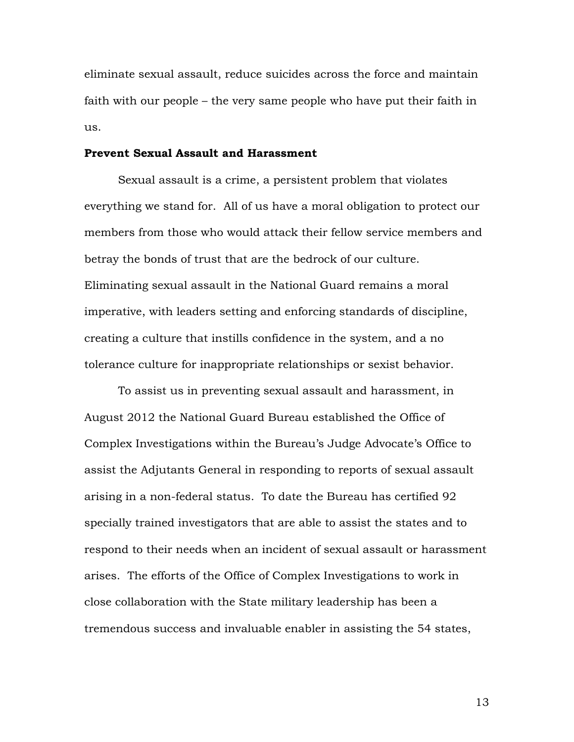eliminate sexual assault, reduce suicides across the force and maintain faith with our people – the very same people who have put their faith in us.

#### **Prevent Sexual Assault and Harassment**

Sexual assault is a crime, a persistent problem that violates everything we stand for. All of us have a moral obligation to protect our members from those who would attack their fellow service members and betray the bonds of trust that are the bedrock of our culture. Eliminating sexual assault in the National Guard remains a moral imperative, with leaders setting and enforcing standards of discipline, creating a culture that instills confidence in the system, and a no tolerance culture for inappropriate relationships or sexist behavior.

To assist us in preventing sexual assault and harassment, in August 2012 the National Guard Bureau established the Office of Complex Investigations within the Bureau's Judge Advocate's Office to assist the Adjutants General in responding to reports of sexual assault arising in a non-federal status. To date the Bureau has certified 92 specially trained investigators that are able to assist the states and to respond to their needs when an incident of sexual assault or harassment arises. The efforts of the Office of Complex Investigations to work in close collaboration with the State military leadership has been a tremendous success and invaluable enabler in assisting the 54 states,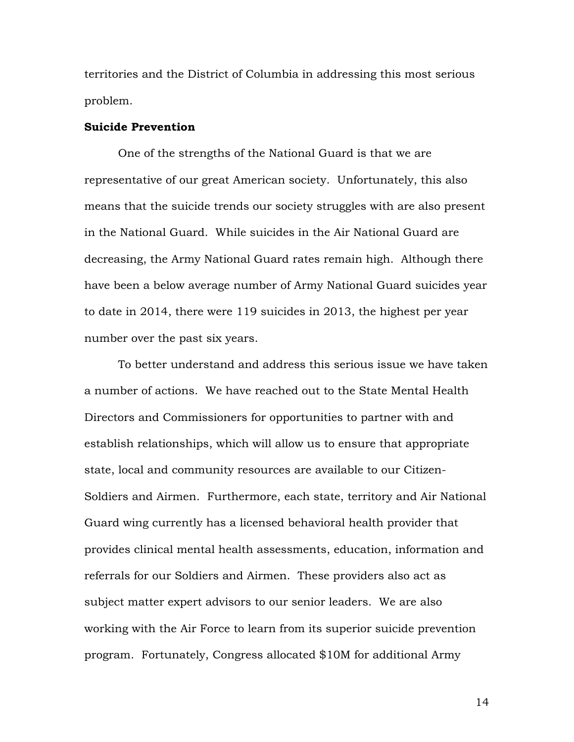territories and the District of Columbia in addressing this most serious problem.

#### **Suicide Prevention**

One of the strengths of the National Guard is that we are representative of our great American society. Unfortunately, this also means that the suicide trends our society struggles with are also present in the National Guard. While suicides in the Air National Guard are decreasing, the Army National Guard rates remain high. Although there have been a below average number of Army National Guard suicides year to date in 2014, there were 119 suicides in 2013, the highest per year number over the past six years.

To better understand and address this serious issue we have taken a number of actions. We have reached out to the State Mental Health Directors and Commissioners for opportunities to partner with and establish relationships, which will allow us to ensure that appropriate state, local and community resources are available to our Citizen-Soldiers and Airmen. Furthermore, each state, territory and Air National Guard wing currently has a licensed behavioral health provider that provides clinical mental health assessments, education, information and referrals for our Soldiers and Airmen. These providers also act as subject matter expert advisors to our senior leaders. We are also working with the Air Force to learn from its superior suicide prevention program. Fortunately, Congress allocated \$10M for additional Army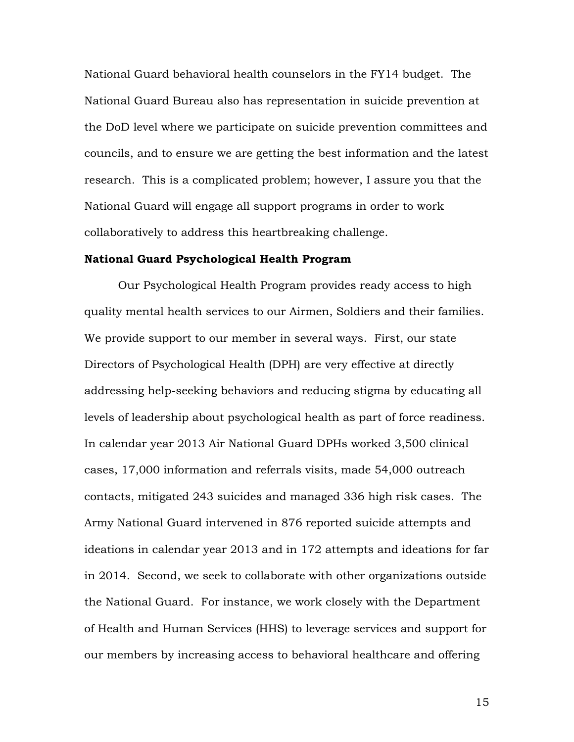National Guard behavioral health counselors in the FY14 budget. The National Guard Bureau also has representation in suicide prevention at the DoD level where we participate on suicide prevention committees and councils, and to ensure we are getting the best information and the latest research. This is a complicated problem; however, I assure you that the National Guard will engage all support programs in order to work collaboratively to address this heartbreaking challenge.

#### **National Guard Psychological Health Program**

Our Psychological Health Program provides ready access to high quality mental health services to our Airmen, Soldiers and their families. We provide support to our member in several ways. First, our state Directors of Psychological Health (DPH) are very effective at directly addressing help-seeking behaviors and reducing stigma by educating all levels of leadership about psychological health as part of force readiness. In calendar year 2013 Air National Guard DPHs worked 3,500 clinical cases, 17,000 information and referrals visits, made 54,000 outreach contacts, mitigated 243 suicides and managed 336 high risk cases. The Army National Guard intervened in 876 reported suicide attempts and ideations in calendar year 2013 and in 172 attempts and ideations for far in 2014. Second, we seek to collaborate with other organizations outside the National Guard. For instance, we work closely with the Department of Health and Human Services (HHS) to leverage services and support for our members by increasing access to behavioral healthcare and offering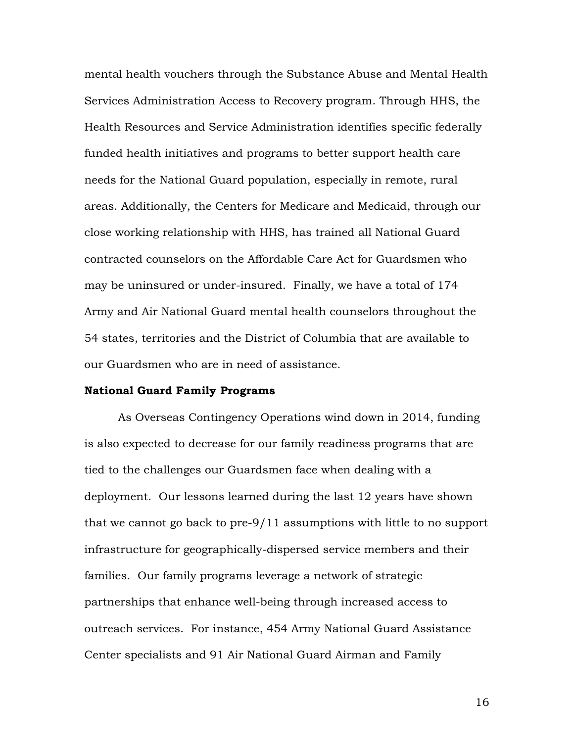mental health vouchers through the Substance Abuse and Mental Health Services Administration Access to Recovery program. Through HHS, the Health Resources and Service Administration identifies specific federally funded health initiatives and programs to better support health care needs for the National Guard population, especially in remote, rural areas. Additionally, the Centers for Medicare and Medicaid, through our close working relationship with HHS, has trained all National Guard contracted counselors on the Affordable Care Act for Guardsmen who may be uninsured or under-insured. Finally, we have a total of 174 Army and Air National Guard mental health counselors throughout the 54 states, territories and the District of Columbia that are available to our Guardsmen who are in need of assistance.

#### **National Guard Family Programs**

As Overseas Contingency Operations wind down in 2014, funding is also expected to decrease for our family readiness programs that are tied to the challenges our Guardsmen face when dealing with a deployment. Our lessons learned during the last 12 years have shown that we cannot go back to pre-9/11 assumptions with little to no support infrastructure for geographically-dispersed service members and their families. Our family programs leverage a network of strategic partnerships that enhance well-being through increased access to outreach services. For instance, 454 Army National Guard Assistance Center specialists and 91 Air National Guard Airman and Family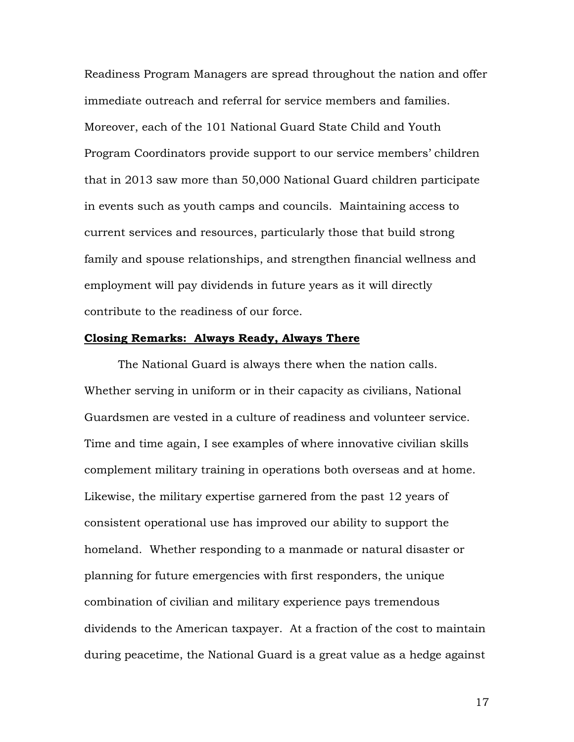Readiness Program Managers are spread throughout the nation and offer immediate outreach and referral for service members and families. Moreover, each of the 101 National Guard State Child and Youth Program Coordinators provide support to our service members' children that in 2013 saw more than 50,000 National Guard children participate in events such as youth camps and councils. Maintaining access to current services and resources, particularly those that build strong family and spouse relationships, and strengthen financial wellness and employment will pay dividends in future years as it will directly contribute to the readiness of our force.

#### **Closing Remarks: Always Ready, Always There**

The National Guard is always there when the nation calls. Whether serving in uniform or in their capacity as civilians, National Guardsmen are vested in a culture of readiness and volunteer service. Time and time again, I see examples of where innovative civilian skills complement military training in operations both overseas and at home. Likewise, the military expertise garnered from the past 12 years of consistent operational use has improved our ability to support the homeland. Whether responding to a manmade or natural disaster or planning for future emergencies with first responders, the unique combination of civilian and military experience pays tremendous dividends to the American taxpayer. At a fraction of the cost to maintain during peacetime, the National Guard is a great value as a hedge against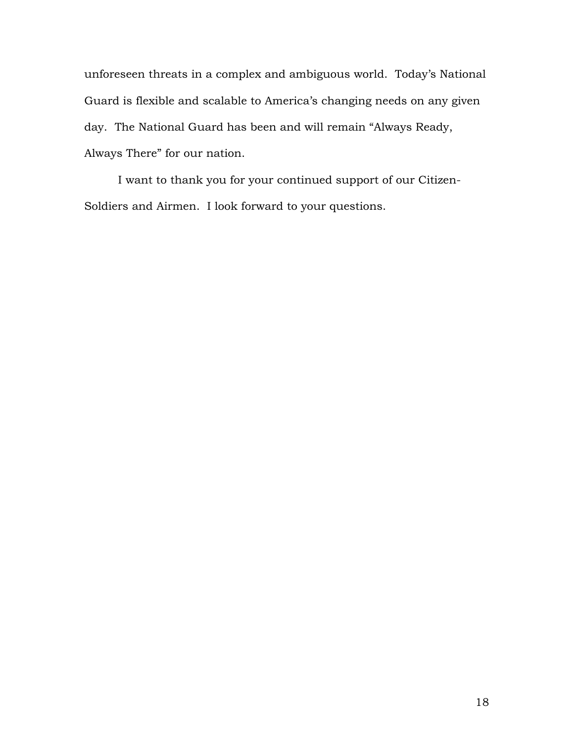unforeseen threats in a complex and ambiguous world. Today's National Guard is flexible and scalable to America's changing needs on any given day. The National Guard has been and will remain "Always Ready, Always There" for our nation.

I want to thank you for your continued support of our Citizen-Soldiers and Airmen. I look forward to your questions.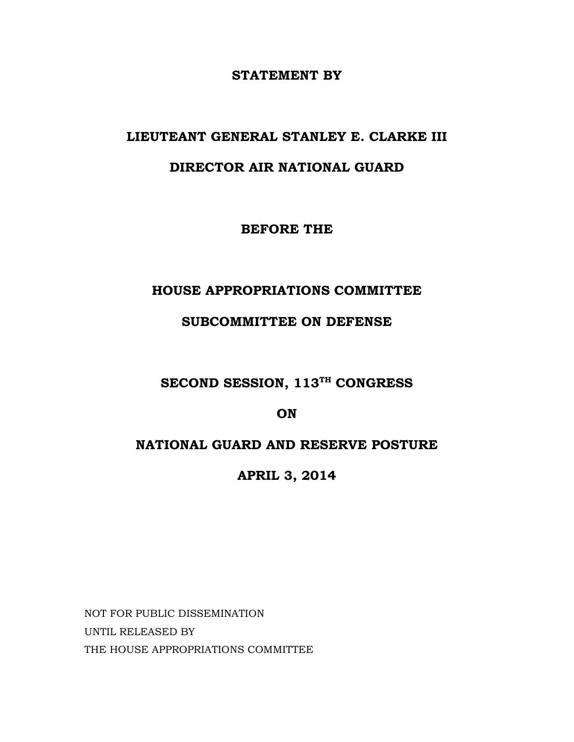#### **STATEMENT BY**

# <span id="page-21-0"></span>**LIEUTEANT GENERAL STANLEY E. CLARKE III**

# **DIRECTOR AIR NATIONAL GUARD**

**BEFORE THE**

# **HOUSE APPROPRIATIONS COMMITTEE**

# **SUBCOMMITTEE ON DEFENSE**

# **SECOND SESSION, 113TH CONGRESS**

#### **ON**

# **NATIONAL GUARD AND RESERVE POSTURE**

**APRIL 3, 2014**

NOT FOR PUBLIC DISSEMINATION UNTIL RELEASED BY THE HOUSE APPROPRIATIONS COMMITTEE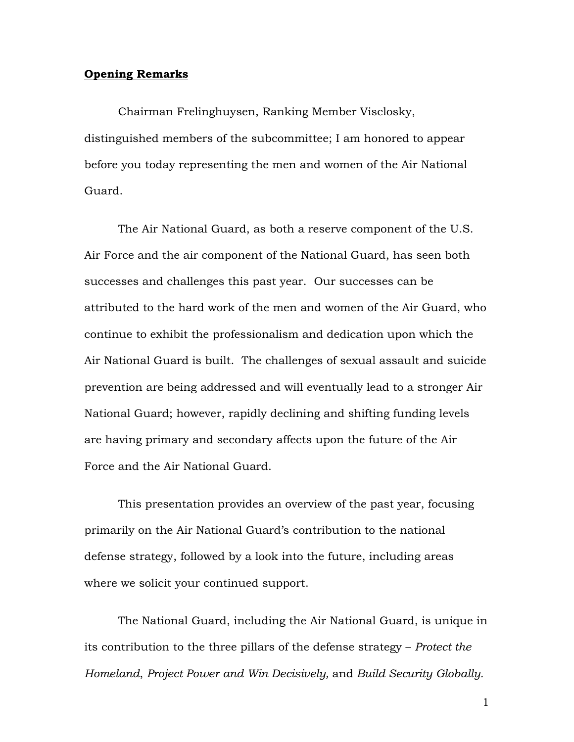#### **Opening Remarks**

Chairman Frelinghuysen, Ranking Member Visclosky, distinguished members of the subcommittee; I am honored to appear before you today representing the men and women of the Air National Guard.

The Air National Guard, as both a reserve component of the U.S. Air Force and the air component of the National Guard, has seen both successes and challenges this past year. Our successes can be attributed to the hard work of the men and women of the Air Guard, who continue to exhibit the professionalism and dedication upon which the Air National Guard is built. The challenges of sexual assault and suicide prevention are being addressed and will eventually lead to a stronger Air National Guard; however, rapidly declining and shifting funding levels are having primary and secondary affects upon the future of the Air Force and the Air National Guard.

This presentation provides an overview of the past year, focusing primarily on the Air National Guard's contribution to the national defense strategy, followed by a look into the future, including areas where we solicit your continued support.

The National Guard, including the Air National Guard, is unique in its contribution to the three pillars of the defense strategy – *Protect the Homeland*, *Project Power and Win Decisively,* and *Build Security Globally.*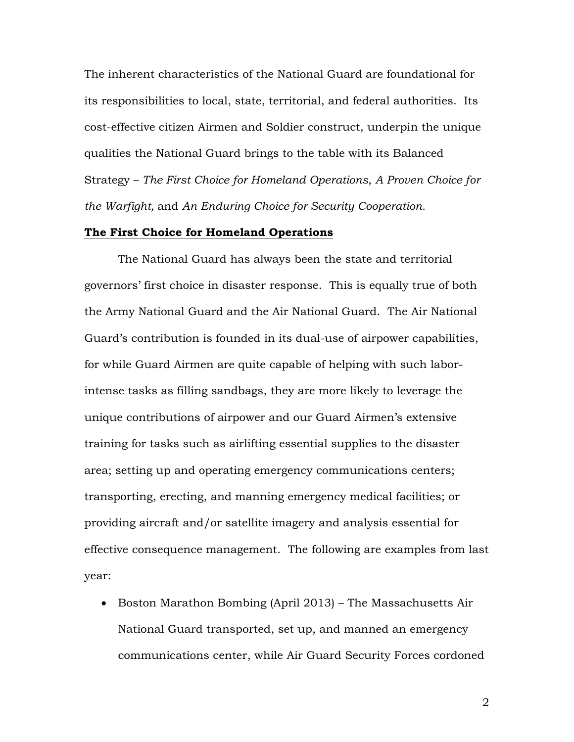The inherent characteristics of the National Guard are foundational for its responsibilities to local, state, territorial, and federal authorities. Its cost-effective citizen Airmen and Soldier construct, underpin the unique qualities the National Guard brings to the table with its Balanced Strategy – *The First Choice for Homeland Operations*, *A Proven Choice for the Warfight,* and *An Enduring Choice for Security Cooperation.*

#### **The First Choice for Homeland Operations**

The National Guard has always been the state and territorial governors' first choice in disaster response. This is equally true of both the Army National Guard and the Air National Guard. The Air National Guard's contribution is founded in its dual-use of airpower capabilities, for while Guard Airmen are quite capable of helping with such laborintense tasks as filling sandbags, they are more likely to leverage the unique contributions of airpower and our Guard Airmen's extensive training for tasks such as airlifting essential supplies to the disaster area; setting up and operating emergency communications centers; transporting, erecting, and manning emergency medical facilities; or providing aircraft and/or satellite imagery and analysis essential for effective consequence management. The following are examples from last year:

• Boston Marathon Bombing (April 2013) – The Massachusetts Air National Guard transported, set up, and manned an emergency communications center, while Air Guard Security Forces cordoned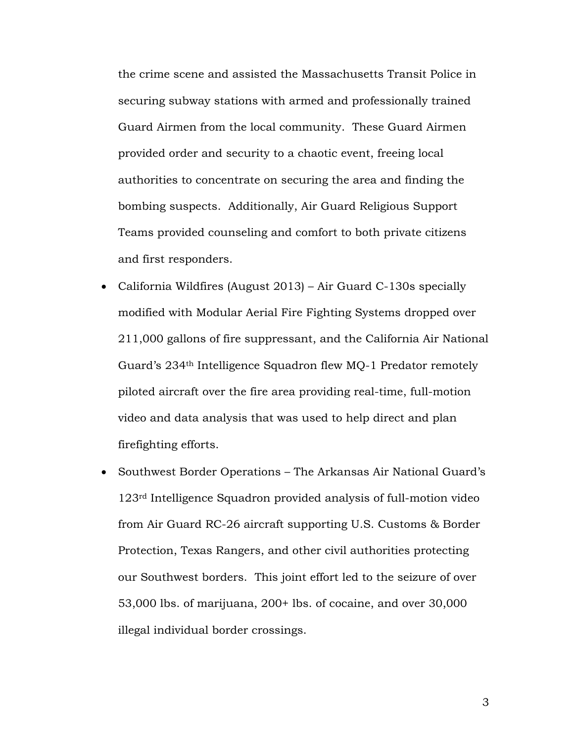the crime scene and assisted the Massachusetts Transit Police in securing subway stations with armed and professionally trained Guard Airmen from the local community. These Guard Airmen provided order and security to a chaotic event, freeing local authorities to concentrate on securing the area and finding the bombing suspects. Additionally, Air Guard Religious Support Teams provided counseling and comfort to both private citizens and first responders.

- California Wildfires (August 2013) Air Guard C-130s specially modified with Modular Aerial Fire Fighting Systems dropped over 211,000 gallons of fire suppressant, and the California Air National Guard's 234th Intelligence Squadron flew MQ-1 Predator remotely piloted aircraft over the fire area providing real-time, full-motion video and data analysis that was used to help direct and plan firefighting efforts.
- Southwest Border Operations The Arkansas Air National Guard's 123rd Intelligence Squadron provided analysis of full-motion video from Air Guard RC-26 aircraft supporting U.S. Customs & Border Protection, Texas Rangers, and other civil authorities protecting our Southwest borders. This joint effort led to the seizure of over 53,000 lbs. of marijuana, 200+ lbs. of cocaine, and over 30,000 illegal individual border crossings.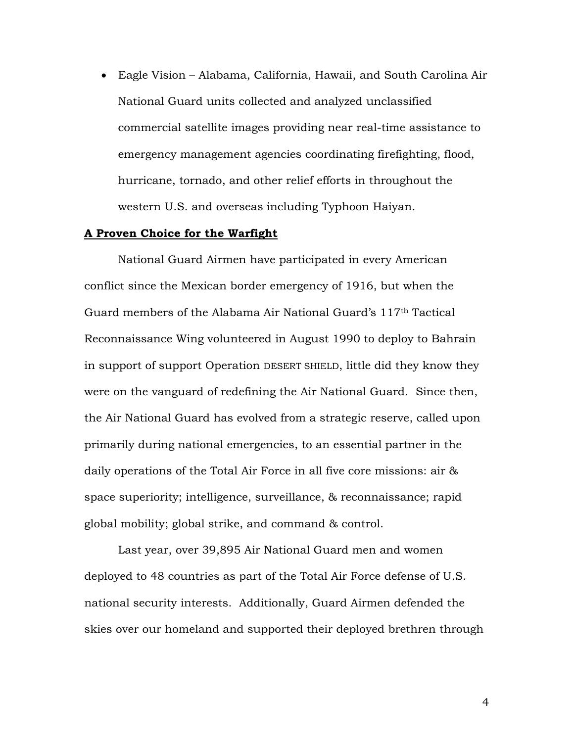• Eagle Vision – Alabama, California, Hawaii, and South Carolina Air National Guard units collected and analyzed unclassified commercial satellite images providing near real-time assistance to emergency management agencies coordinating firefighting, flood, hurricane, tornado, and other relief efforts in throughout the western U.S. and overseas including Typhoon Haiyan.

#### **A Proven Choice for the Warfight**

National Guard Airmen have participated in every American conflict since the Mexican border emergency of 1916, but when the Guard members of the Alabama Air National Guard's 117th Tactical Reconnaissance Wing volunteered in August 1990 to deploy to Bahrain in support of support Operation DESERT SHIELD, little did they know they were on the vanguard of redefining the Air National Guard. Since then, the Air National Guard has evolved from a strategic reserve, called upon primarily during national emergencies, to an essential partner in the daily operations of the Total Air Force in all five core missions: air & space superiority; intelligence, surveillance, & reconnaissance; rapid global mobility; global strike, and command & control.

Last year, over 39,895 Air National Guard men and women deployed to 48 countries as part of the Total Air Force defense of U.S. national security interests. Additionally, Guard Airmen defended the skies over our homeland and supported their deployed brethren through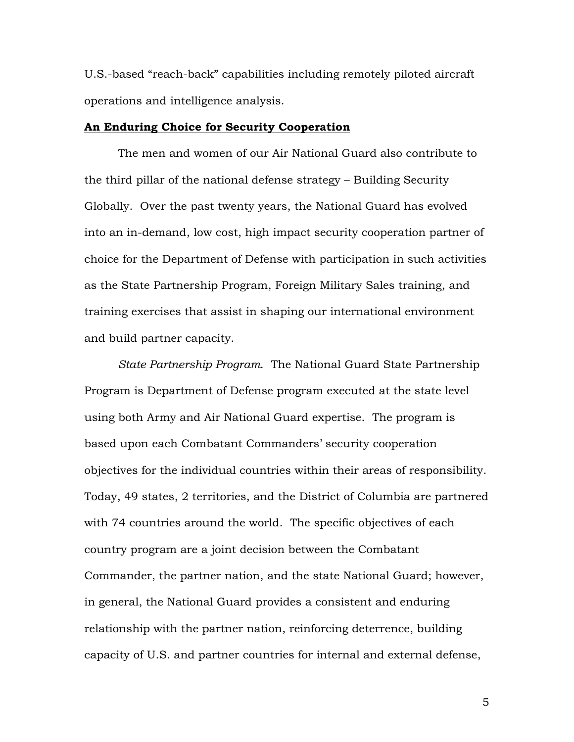U.S.-based "reach-back" capabilities including remotely piloted aircraft operations and intelligence analysis.

#### **An Enduring Choice for Security Cooperation**

The men and women of our Air National Guard also contribute to the third pillar of the national defense strategy – Building Security Globally. Over the past twenty years, the National Guard has evolved into an in-demand, low cost, high impact security cooperation partner of choice for the Department of Defense with participation in such activities as the State Partnership Program, Foreign Military Sales training, and training exercises that assist in shaping our international environment and build partner capacity.

*State Partnership Program*. The National Guard State Partnership Program is Department of Defense program executed at the state level using both Army and Air National Guard expertise. The program is based upon each Combatant Commanders' security cooperation objectives for the individual countries within their areas of responsibility. Today, 49 states, 2 territories, and the District of Columbia are partnered with 74 countries around the world. The specific objectives of each country program are a joint decision between the Combatant Commander, the partner nation, and the state National Guard; however, in general, the National Guard provides a consistent and enduring relationship with the partner nation, reinforcing deterrence, building capacity of U.S. and partner countries for internal and external defense,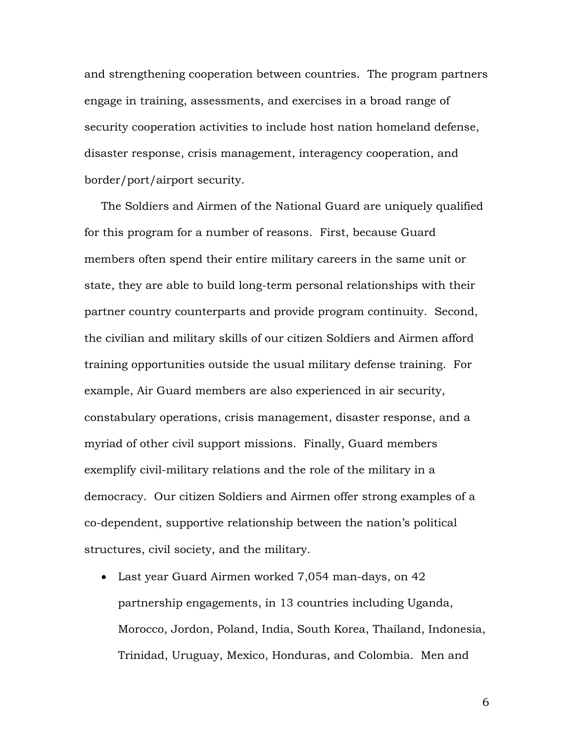and strengthening cooperation between countries. The program partners engage in training, assessments, and exercises in a broad range of security cooperation activities to include host nation homeland defense, disaster response, crisis management, interagency cooperation, and border/port/airport security.

The Soldiers and Airmen of the National Guard are uniquely qualified for this program for a number of reasons. First, because Guard members often spend their entire military careers in the same unit or state, they are able to build long-term personal relationships with their partner country counterparts and provide program continuity. Second, the civilian and military skills of our citizen Soldiers and Airmen afford training opportunities outside the usual military defense training. For example, Air Guard members are also experienced in air security, constabulary operations, crisis management, disaster response, and a myriad of other civil support missions. Finally, Guard members exemplify civil-military relations and the role of the military in a democracy. Our citizen Soldiers and Airmen offer strong examples of a co-dependent, supportive relationship between the nation's political structures, civil society, and the military.

• Last year Guard Airmen worked 7,054 man-days, on 42 partnership engagements, in 13 countries including Uganda, Morocco, Jordon, Poland, India, South Korea, Thailand, Indonesia, Trinidad, Uruguay, Mexico, Honduras, and Colombia. Men and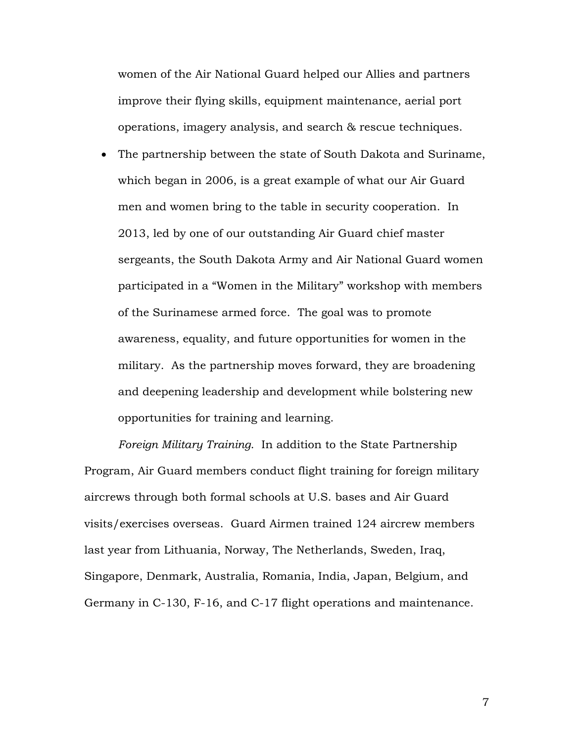women of the Air National Guard helped our Allies and partners improve their flying skills, equipment maintenance, aerial port operations, imagery analysis, and search & rescue techniques.

• The partnership between the state of South Dakota and Suriname, which began in 2006, is a great example of what our Air Guard men and women bring to the table in security cooperation. In 2013, led by one of our outstanding Air Guard chief master sergeants, the South Dakota Army and Air National Guard women participated in a "Women in the Military" workshop with members of the Surinamese armed force. The goal was to promote awareness, equality, and future opportunities for women in the military. As the partnership moves forward, they are broadening and deepening leadership and development while bolstering new opportunities for training and learning.

*Foreign Military Training*. In addition to the State Partnership Program, Air Guard members conduct flight training for foreign military aircrews through both formal schools at U.S. bases and Air Guard visits/exercises overseas. Guard Airmen trained 124 aircrew members last year from Lithuania, Norway, The Netherlands, Sweden, Iraq, Singapore, Denmark, Australia, Romania, India, Japan, Belgium, and Germany in C-130, F-16, and C-17 flight operations and maintenance.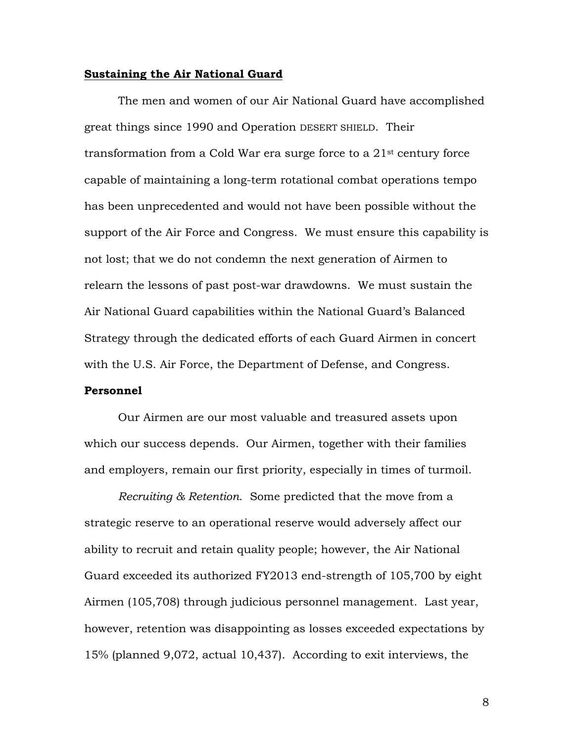#### **Sustaining the Air National Guard**

The men and women of our Air National Guard have accomplished great things since 1990 and Operation DESERT SHIELD. Their transformation from a Cold War era surge force to a  $21<sup>st</sup>$  century force capable of maintaining a long-term rotational combat operations tempo has been unprecedented and would not have been possible without the support of the Air Force and Congress. We must ensure this capability is not lost; that we do not condemn the next generation of Airmen to relearn the lessons of past post-war drawdowns. We must sustain the Air National Guard capabilities within the National Guard's Balanced Strategy through the dedicated efforts of each Guard Airmen in concert with the U.S. Air Force, the Department of Defense, and Congress.

#### **Personnel**

Our Airmen are our most valuable and treasured assets upon which our success depends. Our Airmen, together with their families and employers, remain our first priority, especially in times of turmoil.

*Recruiting & Retention*. Some predicted that the move from a strategic reserve to an operational reserve would adversely affect our ability to recruit and retain quality people; however, the Air National Guard exceeded its authorized FY2013 end-strength of 105,700 by eight Airmen (105,708) through judicious personnel management. Last year, however, retention was disappointing as losses exceeded expectations by 15% (planned 9,072, actual 10,437). According to exit interviews, the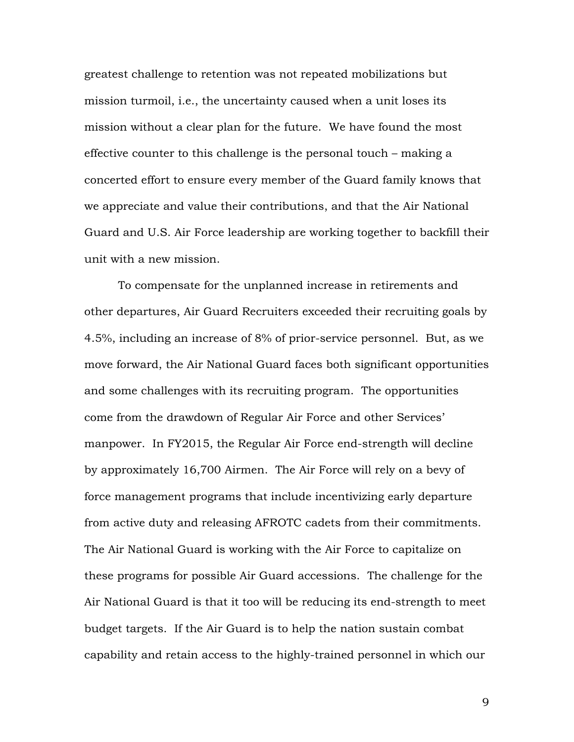greatest challenge to retention was not repeated mobilizations but mission turmoil, i.e., the uncertainty caused when a unit loses its mission without a clear plan for the future. We have found the most effective counter to this challenge is the personal touch – making a concerted effort to ensure every member of the Guard family knows that we appreciate and value their contributions, and that the Air National Guard and U.S. Air Force leadership are working together to backfill their unit with a new mission.

To compensate for the unplanned increase in retirements and other departures, Air Guard Recruiters exceeded their recruiting goals by 4.5%, including an increase of 8% of prior-service personnel. But, as we move forward, the Air National Guard faces both significant opportunities and some challenges with its recruiting program. The opportunities come from the drawdown of Regular Air Force and other Services' manpower. In FY2015, the Regular Air Force end-strength will decline by approximately 16,700 Airmen. The Air Force will rely on a bevy of force management programs that include incentivizing early departure from active duty and releasing AFROTC cadets from their commitments. The Air National Guard is working with the Air Force to capitalize on these programs for possible Air Guard accessions. The challenge for the Air National Guard is that it too will be reducing its end-strength to meet budget targets. If the Air Guard is to help the nation sustain combat capability and retain access to the highly-trained personnel in which our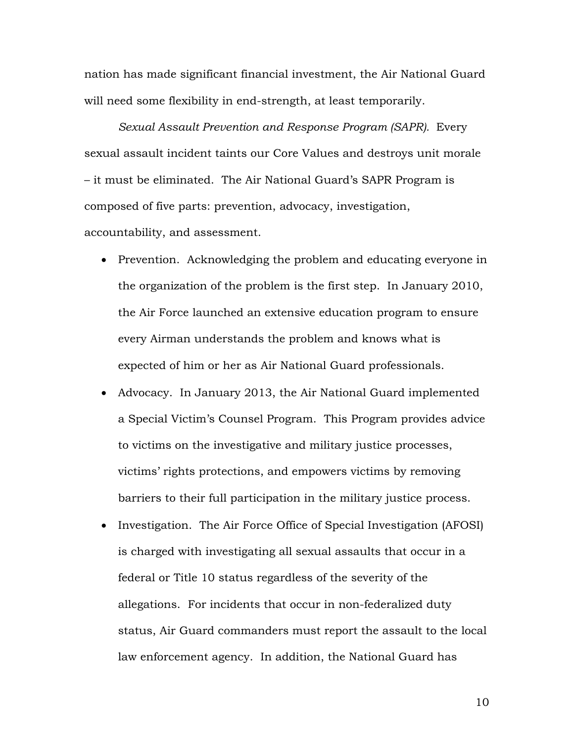nation has made significant financial investment, the Air National Guard will need some flexibility in end-strength, at least temporarily.

*Sexual Assault Prevention and Response Program (SAPR).* Every sexual assault incident taints our Core Values and destroys unit morale – it must be eliminated. The Air National Guard's SAPR Program is composed of five parts: prevention, advocacy, investigation, accountability, and assessment.

- Prevention. Acknowledging the problem and educating everyone in the organization of the problem is the first step. In January 2010, the Air Force launched an extensive education program to ensure every Airman understands the problem and knows what is expected of him or her as Air National Guard professionals.
- Advocacy. In January 2013, the Air National Guard implemented a Special Victim's Counsel Program. This Program provides advice to victims on the investigative and military justice processes, victims' rights protections, and empowers victims by removing barriers to their full participation in the military justice process.
- Investigation. The Air Force Office of Special Investigation (AFOSI) is charged with investigating all sexual assaults that occur in a federal or Title 10 status regardless of the severity of the allegations. For incidents that occur in non-federalized duty status, Air Guard commanders must report the assault to the local law enforcement agency. In addition, the National Guard has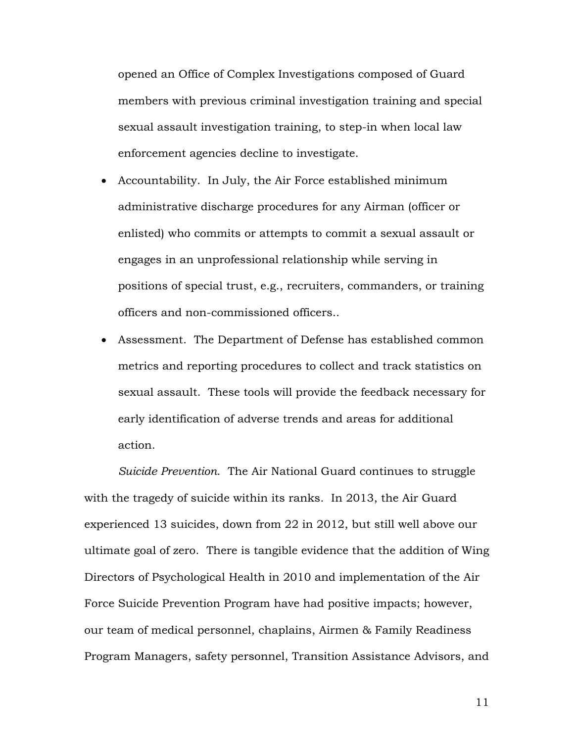opened an Office of Complex Investigations composed of Guard members with previous criminal investigation training and special sexual assault investigation training, to step-in when local law enforcement agencies decline to investigate.

- Accountability. In July, the Air Force established minimum administrative discharge procedures for any Airman (officer or enlisted) who commits or attempts to commit a sexual assault or engages in an unprofessional relationship while serving in positions of special trust, e.g., recruiters, commanders, or training officers and non-commissioned officers..
- Assessment. The Department of Defense has established common metrics and reporting procedures to collect and track statistics on sexual assault. These tools will provide the feedback necessary for early identification of adverse trends and areas for additional action.

*Suicide Prevention*. The Air National Guard continues to struggle with the tragedy of suicide within its ranks. In 2013, the Air Guard experienced 13 suicides, down from 22 in 2012, but still well above our ultimate goal of zero. There is tangible evidence that the addition of Wing Directors of Psychological Health in 2010 and implementation of the Air Force Suicide Prevention Program have had positive impacts; however, our team of medical personnel, chaplains, Airmen & Family Readiness Program Managers, safety personnel, Transition Assistance Advisors, and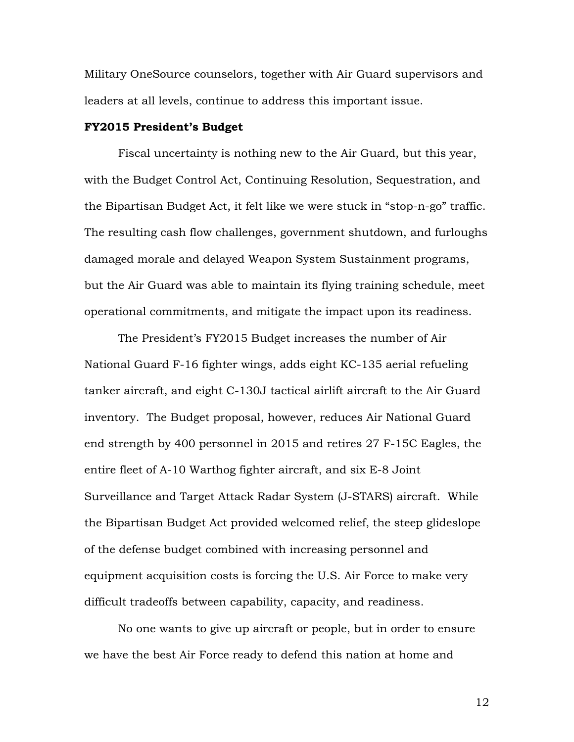Military OneSource counselors, together with Air Guard supervisors and leaders at all levels, continue to address this important issue.

#### **FY2015 President's Budget**

Fiscal uncertainty is nothing new to the Air Guard, but this year, with the Budget Control Act, Continuing Resolution, Sequestration, and the Bipartisan Budget Act, it felt like we were stuck in "stop-n-go" traffic. The resulting cash flow challenges, government shutdown, and furloughs damaged morale and delayed Weapon System Sustainment programs, but the Air Guard was able to maintain its flying training schedule, meet operational commitments, and mitigate the impact upon its readiness.

The President's FY2015 Budget increases the number of Air National Guard F-16 fighter wings, adds eight KC-135 aerial refueling tanker aircraft, and eight C-130J tactical airlift aircraft to the Air Guard inventory. The Budget proposal, however, reduces Air National Guard end strength by 400 personnel in 2015 and retires 27 F-15C Eagles, the entire fleet of A-10 Warthog fighter aircraft, and six E-8 Joint Surveillance and Target Attack Radar System (J-STARS) aircraft. While the Bipartisan Budget Act provided welcomed relief, the steep glideslope of the defense budget combined with increasing personnel and equipment acquisition costs is forcing the U.S. Air Force to make very difficult tradeoffs between capability, capacity, and readiness.

No one wants to give up aircraft or people, but in order to ensure we have the best Air Force ready to defend this nation at home and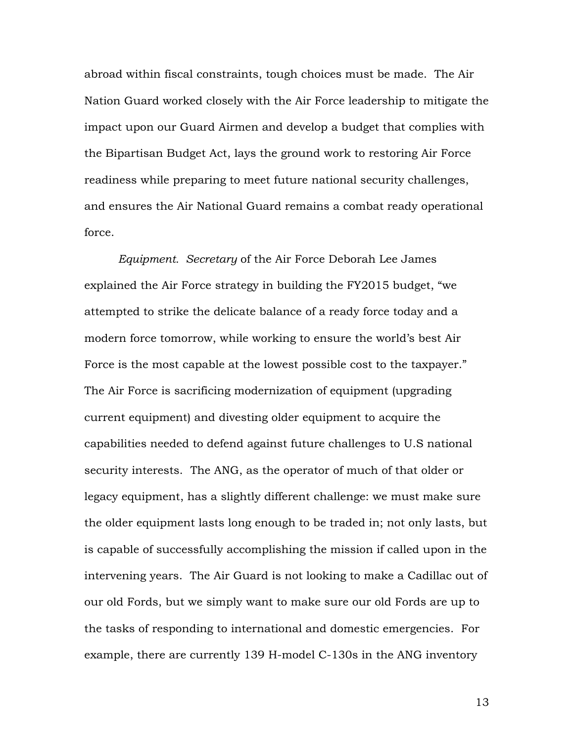abroad within fiscal constraints, tough choices must be made. The Air Nation Guard worked closely with the Air Force leadership to mitigate the impact upon our Guard Airmen and develop a budget that complies with the Bipartisan Budget Act, lays the ground work to restoring Air Force readiness while preparing to meet future national security challenges, and ensures the Air National Guard remains a combat ready operational force.

*Equipment. Secretary* of the Air Force Deborah Lee James explained the Air Force strategy in building the FY2015 budget, "we attempted to strike the delicate balance of a ready force today and a modern force tomorrow, while working to ensure the world's best Air Force is the most capable at the lowest possible cost to the taxpayer." The Air Force is sacrificing modernization of equipment (upgrading current equipment) and divesting older equipment to acquire the capabilities needed to defend against future challenges to U.S national security interests. The ANG, as the operator of much of that older or legacy equipment, has a slightly different challenge: we must make sure the older equipment lasts long enough to be traded in; not only lasts, but is capable of successfully accomplishing the mission if called upon in the intervening years. The Air Guard is not looking to make a Cadillac out of our old Fords, but we simply want to make sure our old Fords are up to the tasks of responding to international and domestic emergencies. For example, there are currently 139 H-model C-130s in the ANG inventory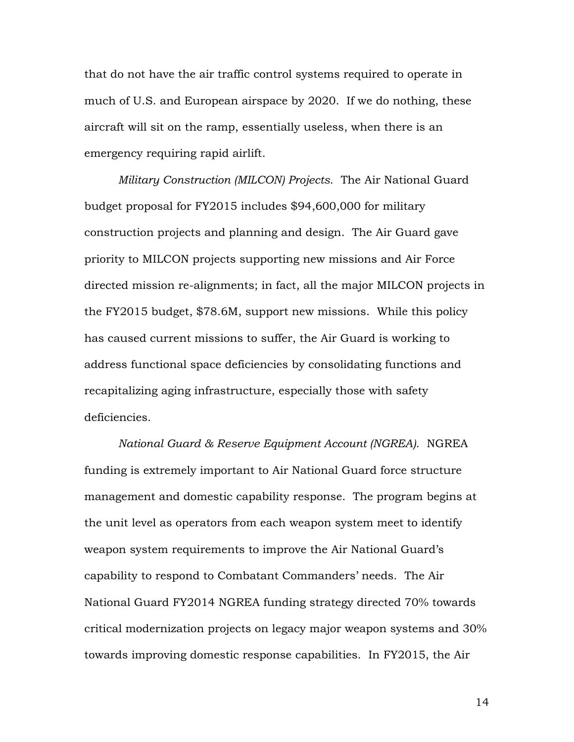that do not have the air traffic control systems required to operate in much of U.S. and European airspace by 2020. If we do nothing, these aircraft will sit on the ramp, essentially useless, when there is an emergency requiring rapid airlift.

*Military Construction (MILCON) Projects*. The Air National Guard budget proposal for FY2015 includes \$94,600,000 for military construction projects and planning and design. The Air Guard gave priority to MILCON projects supporting new missions and Air Force directed mission re-alignments; in fact, all the major MILCON projects in the FY2015 budget, \$78.6M, support new missions. While this policy has caused current missions to suffer, the Air Guard is working to address functional space deficiencies by consolidating functions and recapitalizing aging infrastructure, especially those with safety deficiencies.

*National Guard & Reserve Equipment Account (NGREA)*. NGREA funding is extremely important to Air National Guard force structure management and domestic capability response. The program begins at the unit level as operators from each weapon system meet to identify weapon system requirements to improve the Air National Guard's capability to respond to Combatant Commanders' needs. The Air National Guard FY2014 NGREA funding strategy directed 70% towards critical modernization projects on legacy major weapon systems and 30% towards improving domestic response capabilities. In FY2015, the Air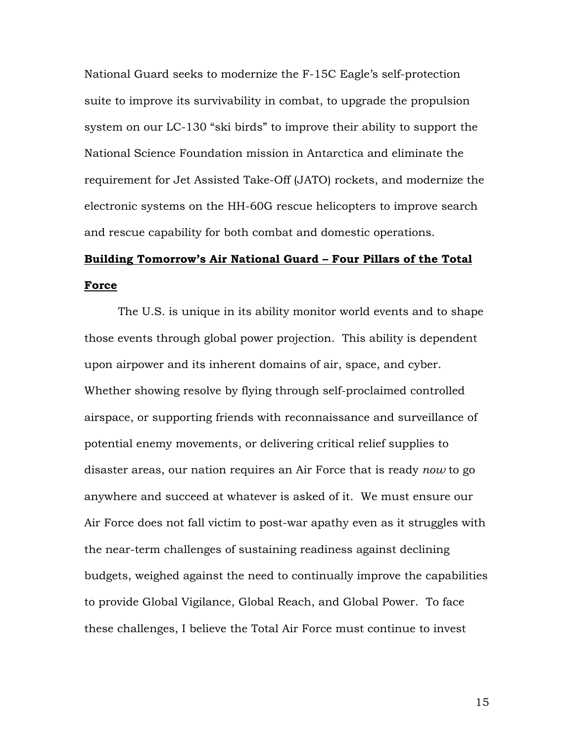National Guard seeks to modernize the F-15C Eagle's self-protection suite to improve its survivability in combat, to upgrade the propulsion system on our LC-130 "ski birds" to improve their ability to support the National Science Foundation mission in Antarctica and eliminate the requirement for Jet Assisted Take-Off (JATO) rockets, and modernize the electronic systems on the HH-60G rescue helicopters to improve search and rescue capability for both combat and domestic operations.

# **Building Tomorrow's Air National Guard – Four Pillars of the Total Force**

The U.S. is unique in its ability monitor world events and to shape those events through global power projection. This ability is dependent upon airpower and its inherent domains of air, space, and cyber. Whether showing resolve by flying through self-proclaimed controlled airspace, or supporting friends with reconnaissance and surveillance of potential enemy movements, or delivering critical relief supplies to disaster areas, our nation requires an Air Force that is ready *now* to go anywhere and succeed at whatever is asked of it. We must ensure our Air Force does not fall victim to post-war apathy even as it struggles with the near-term challenges of sustaining readiness against declining budgets, weighed against the need to continually improve the capabilities to provide Global Vigilance, Global Reach, and Global Power. To face these challenges, I believe the Total Air Force must continue to invest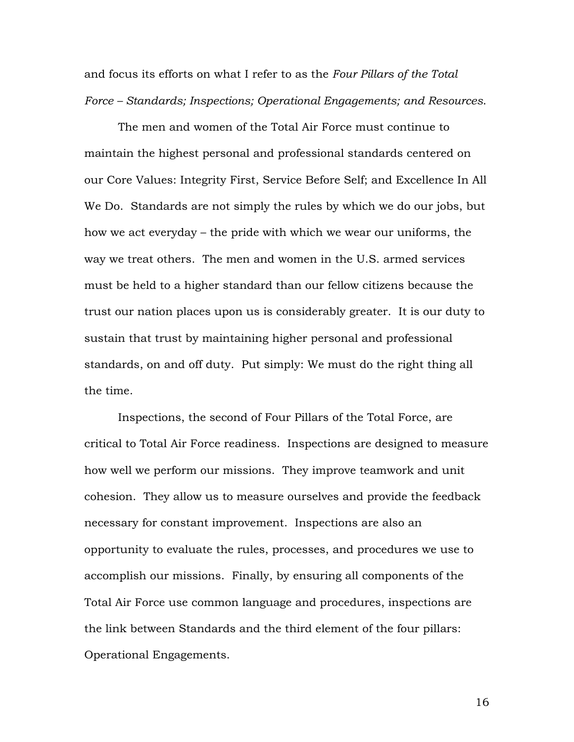and focus its efforts on what I refer to as the *Four Pillars of the Total Force – Standards; Inspections; Operational Engagements; and Resources*.

The men and women of the Total Air Force must continue to maintain the highest personal and professional standards centered on our Core Values: Integrity First, Service Before Self; and Excellence In All We Do. Standards are not simply the rules by which we do our jobs, but how we act everyday – the pride with which we wear our uniforms, the way we treat others. The men and women in the U.S. armed services must be held to a higher standard than our fellow citizens because the trust our nation places upon us is considerably greater. It is our duty to sustain that trust by maintaining higher personal and professional standards, on and off duty. Put simply: We must do the right thing all the time.

Inspections, the second of Four Pillars of the Total Force, are critical to Total Air Force readiness. Inspections are designed to measure how well we perform our missions. They improve teamwork and unit cohesion. They allow us to measure ourselves and provide the feedback necessary for constant improvement. Inspections are also an opportunity to evaluate the rules, processes, and procedures we use to accomplish our missions. Finally, by ensuring all components of the Total Air Force use common language and procedures, inspections are the link between Standards and the third element of the four pillars: Operational Engagements.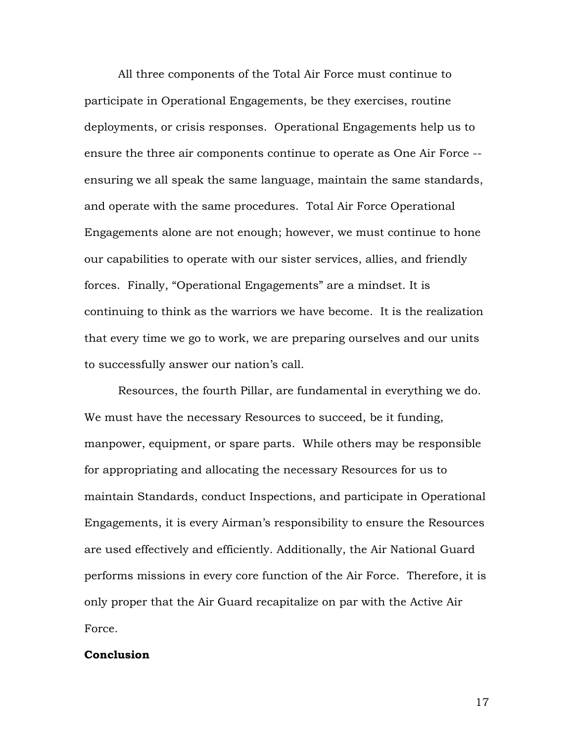All three components of the Total Air Force must continue to participate in Operational Engagements, be they exercises, routine deployments, or crisis responses. Operational Engagements help us to ensure the three air components continue to operate as One Air Force - ensuring we all speak the same language, maintain the same standards, and operate with the same procedures. Total Air Force Operational Engagements alone are not enough; however, we must continue to hone our capabilities to operate with our sister services, allies, and friendly forces. Finally, "Operational Engagements" are a mindset. It is continuing to think as the warriors we have become. It is the realization that every time we go to work, we are preparing ourselves and our units to successfully answer our nation's call.

Resources, the fourth Pillar, are fundamental in everything we do. We must have the necessary Resources to succeed, be it funding, manpower, equipment, or spare parts. While others may be responsible for appropriating and allocating the necessary Resources for us to maintain Standards, conduct Inspections, and participate in Operational Engagements, it is every Airman's responsibility to ensure the Resources are used effectively and efficiently. Additionally, the Air National Guard performs missions in every core function of the Air Force. Therefore, it is only proper that the Air Guard recapitalize on par with the Active Air Force.

### **Conclusion**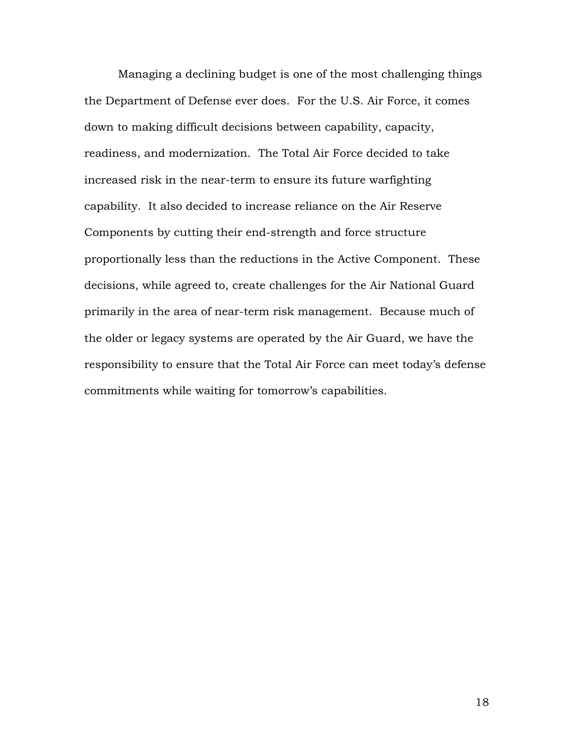Managing a declining budget is one of the most challenging things the Department of Defense ever does. For the U.S. Air Force, it comes down to making difficult decisions between capability, capacity, readiness, and modernization. The Total Air Force decided to take increased risk in the near-term to ensure its future warfighting capability. It also decided to increase reliance on the Air Reserve Components by cutting their end-strength and force structure proportionally less than the reductions in the Active Component. These decisions, while agreed to, create challenges for the Air National Guard primarily in the area of near-term risk management. Because much of the older or legacy systems are operated by the Air Guard, we have the responsibility to ensure that the Total Air Force can meet today's defense commitments while waiting for tomorrow's capabilities.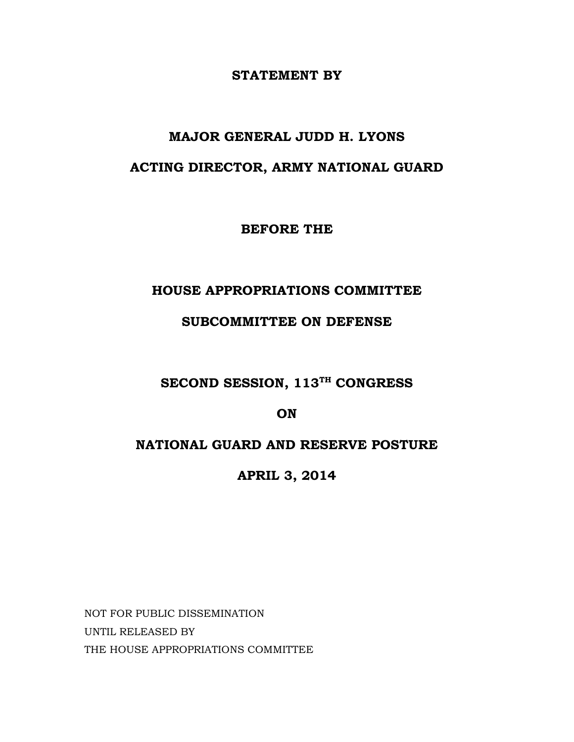### **STATEMENT BY**

# **MAJOR GENERAL JUDD H. LYONS ACTING DIRECTOR, ARMY NATIONAL GUARD**

**BEFORE THE**

### **HOUSE APPROPRIATIONS COMMITTEE**

# **SUBCOMMITTEE ON DEFENSE**

# **SECOND SESSION, 113TH CONGRESS**

### **ON**

# **NATIONAL GUARD AND RESERVE POSTURE**

**APRIL 3, 2014**

NOT FOR PUBLIC DISSEMINATION UNTIL RELEASED BY THE HOUSE APPROPRIATIONS COMMITTEE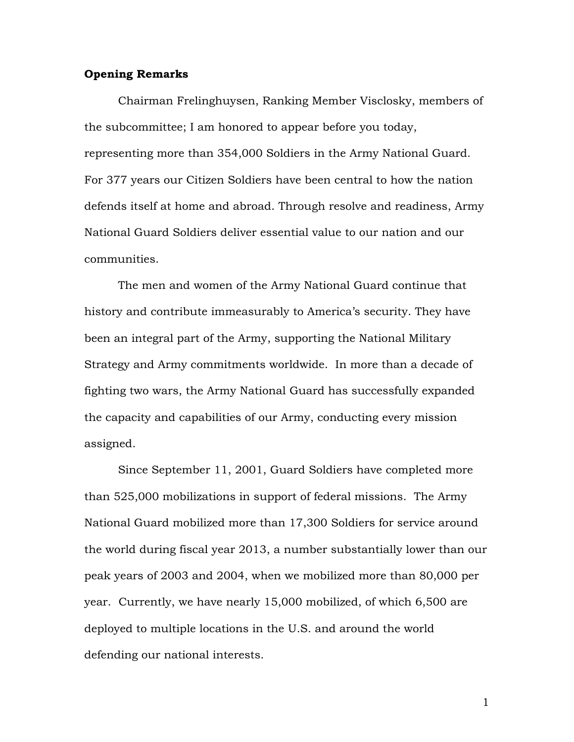#### **Opening Remarks**

Chairman Frelinghuysen, Ranking Member Visclosky, members of the subcommittee; I am honored to appear before you today, representing more than 354,000 Soldiers in the Army National Guard. For 377 years our Citizen Soldiers have been central to how the nation defends itself at home and abroad. Through resolve and readiness, Army National Guard Soldiers deliver essential value to our nation and our communities.

The men and women of the Army National Guard continue that history and contribute immeasurably to America's security. They have been an integral part of the Army, supporting the National Military Strategy and Army commitments worldwide. In more than a decade of fighting two wars, the Army National Guard has successfully expanded the capacity and capabilities of our Army, conducting every mission assigned.

Since September 11, 2001, Guard Soldiers have completed more than 525,000 mobilizations in support of federal missions. The Army National Guard mobilized more than 17,300 Soldiers for service around the world during fiscal year 2013, a number substantially lower than our peak years of 2003 and 2004, when we mobilized more than 80,000 per year. Currently, we have nearly 15,000 mobilized, of which 6,500 are deployed to multiple locations in the U.S. and around the world defending our national interests.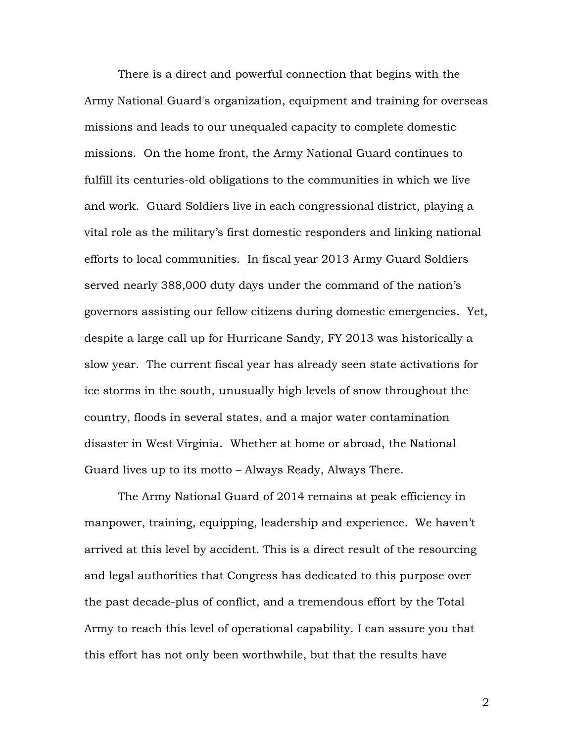There is a direct and powerful connection that begins with the Army National Guard's organization, equipment and training for overseas missions and leads to our unequaled capacity to complete domestic missions. On the home front, the Army National Guard continues to fulfill its centuries-old obligations to the communities in which we live and work. Guard Soldiers live in each congressional district, playing a vital role as the military's first domestic responders and linking national efforts to local communities. In fiscal year 2013 Army Guard Soldiers served nearly 388,000 duty days under the command of the nation's governors assisting our fellow citizens during domestic emergencies. Yet, despite a large call up for Hurricane Sandy, FY 2013 was historically a slow year. The current fiscal year has already seen state activations for ice storms in the south, unusually high levels of snow throughout the country, floods in several states, and a major water contamination disaster in West Virginia. Whether at home or abroad, the National Guard lives up to its motto – Always Ready, Always There.

The Army National Guard of 2014 remains at peak efficiency in manpower, training, equipping, leadership and experience. We haven't arrived at this level by accident. This is a direct result of the resourcing and legal authorities that Congress has dedicated to this purpose over the past decade-plus of conflict, and a tremendous effort by the Total Army to reach this level of operational capability. I can assure you that this effort has not only been worthwhile, but that the results have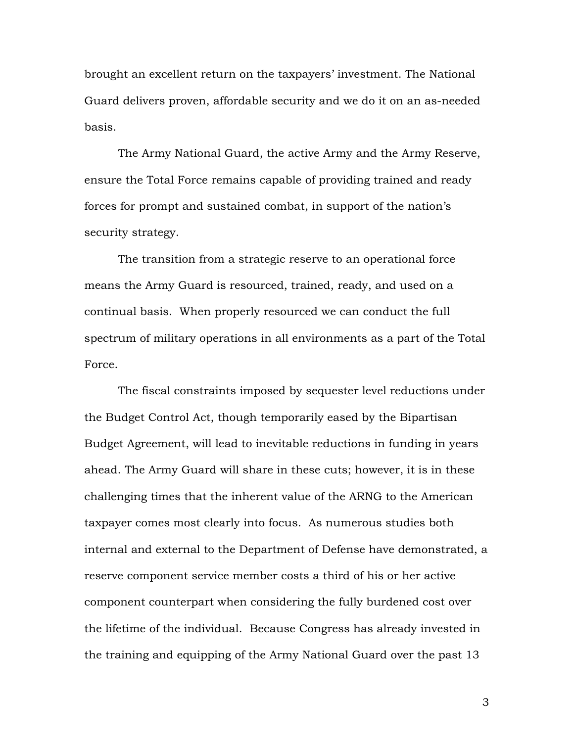brought an excellent return on the taxpayers' investment. The National Guard delivers proven, affordable security and we do it on an as-needed basis.

The Army National Guard, the active Army and the Army Reserve, ensure the Total Force remains capable of providing trained and ready forces for prompt and sustained combat, in support of the nation's security strategy.

The transition from a strategic reserve to an operational force means the Army Guard is resourced, trained, ready, and used on a continual basis. When properly resourced we can conduct the full spectrum of military operations in all environments as a part of the Total Force.

The fiscal constraints imposed by sequester level reductions under the Budget Control Act, though temporarily eased by the Bipartisan Budget Agreement, will lead to inevitable reductions in funding in years ahead. The Army Guard will share in these cuts; however, it is in these challenging times that the inherent value of the ARNG to the American taxpayer comes most clearly into focus. As numerous studies both internal and external to the Department of Defense have demonstrated, a reserve component service member costs a third of his or her active component counterpart when considering the fully burdened cost over the lifetime of the individual. Because Congress has already invested in the training and equipping of the Army National Guard over the past 13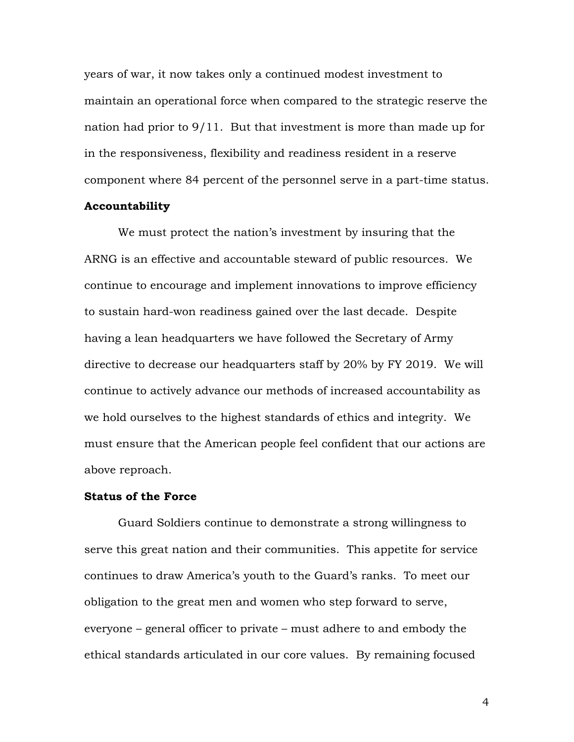years of war, it now takes only a continued modest investment to maintain an operational force when compared to the strategic reserve the nation had prior to 9/11. But that investment is more than made up for in the responsiveness, flexibility and readiness resident in a reserve component where 84 percent of the personnel serve in a part-time status.

#### **Accountability**

We must protect the nation's investment by insuring that the ARNG is an effective and accountable steward of public resources. We continue to encourage and implement innovations to improve efficiency to sustain hard-won readiness gained over the last decade. Despite having a lean headquarters we have followed the Secretary of Army directive to decrease our headquarters staff by 20% by FY 2019. We will continue to actively advance our methods of increased accountability as we hold ourselves to the highest standards of ethics and integrity. We must ensure that the American people feel confident that our actions are above reproach.

#### **Status of the Force**

Guard Soldiers continue to demonstrate a strong willingness to serve this great nation and their communities. This appetite for service continues to draw America's youth to the Guard's ranks. To meet our obligation to the great men and women who step forward to serve, everyone – general officer to private – must adhere to and embody the ethical standards articulated in our core values. By remaining focused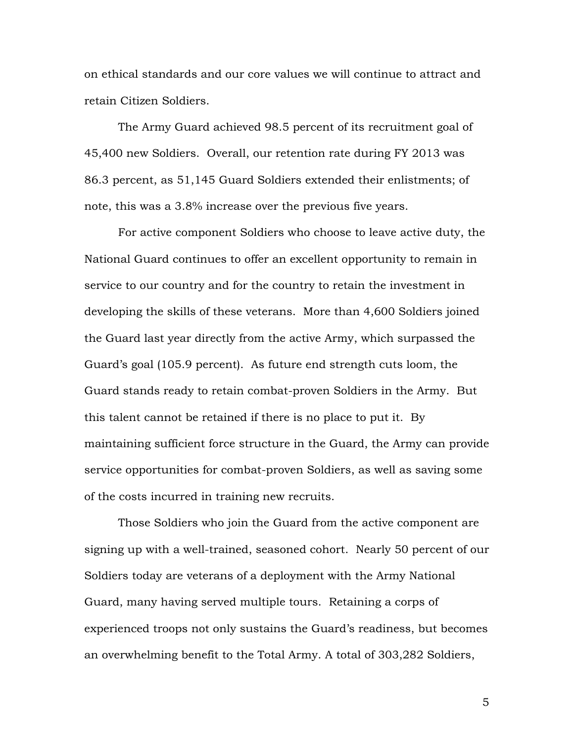on ethical standards and our core values we will continue to attract and retain Citizen Soldiers.

The Army Guard achieved 98.5 percent of its recruitment goal of 45,400 new Soldiers. Overall, our retention rate during FY 2013 was 86.3 percent, as 51,145 Guard Soldiers extended their enlistments; of note, this was a 3.8% increase over the previous five years.

For active component Soldiers who choose to leave active duty, the National Guard continues to offer an excellent opportunity to remain in service to our country and for the country to retain the investment in developing the skills of these veterans. More than 4,600 Soldiers joined the Guard last year directly from the active Army, which surpassed the Guard's goal (105.9 percent). As future end strength cuts loom, the Guard stands ready to retain combat-proven Soldiers in the Army. But this talent cannot be retained if there is no place to put it. By maintaining sufficient force structure in the Guard, the Army can provide service opportunities for combat-proven Soldiers, as well as saving some of the costs incurred in training new recruits.

Those Soldiers who join the Guard from the active component are signing up with a well-trained, seasoned cohort. Nearly 50 percent of our Soldiers today are veterans of a deployment with the Army National Guard, many having served multiple tours. Retaining a corps of experienced troops not only sustains the Guard's readiness, but becomes an overwhelming benefit to the Total Army. A total of 303,282 Soldiers,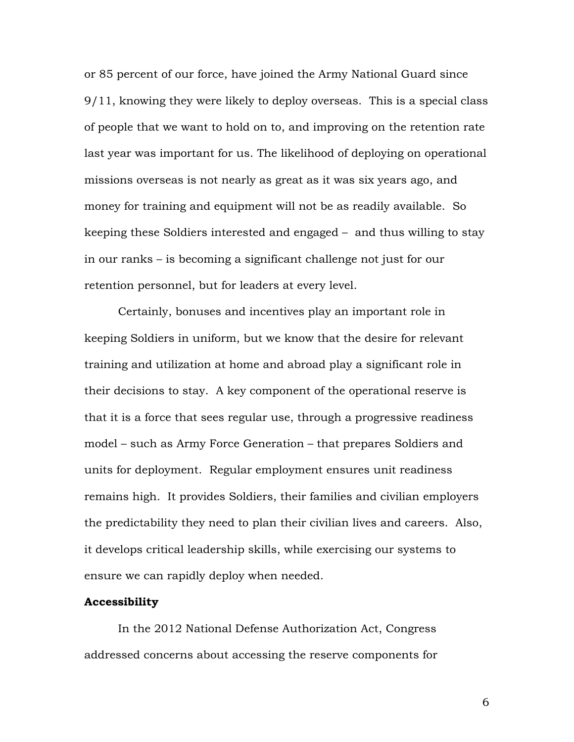or 85 percent of our force, have joined the Army National Guard since 9/11, knowing they were likely to deploy overseas. This is a special class of people that we want to hold on to, and improving on the retention rate last year was important for us. The likelihood of deploying on operational missions overseas is not nearly as great as it was six years ago, and money for training and equipment will not be as readily available. So keeping these Soldiers interested and engaged – and thus willing to stay in our ranks – is becoming a significant challenge not just for our retention personnel, but for leaders at every level.

Certainly, bonuses and incentives play an important role in keeping Soldiers in uniform, but we know that the desire for relevant training and utilization at home and abroad play a significant role in their decisions to stay. A key component of the operational reserve is that it is a force that sees regular use, through a progressive readiness model – such as Army Force Generation – that prepares Soldiers and units for deployment. Regular employment ensures unit readiness remains high. It provides Soldiers, their families and civilian employers the predictability they need to plan their civilian lives and careers. Also, it develops critical leadership skills, while exercising our systems to ensure we can rapidly deploy when needed.

#### **Accessibility**

In the 2012 National Defense Authorization Act, Congress addressed concerns about accessing the reserve components for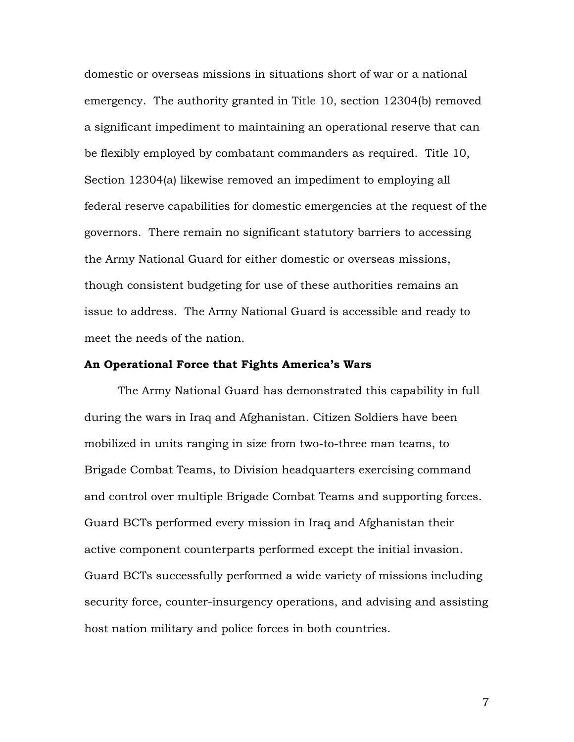domestic or overseas missions in situations short of war or a national emergency. The authority granted in Title 10, section 12304(b) removed a significant impediment to maintaining an operational reserve that can be flexibly employed by combatant commanders as required. Title 10, Section 12304(a) likewise removed an impediment to employing all federal reserve capabilities for domestic emergencies at the request of the governors. There remain no significant statutory barriers to accessing the Army National Guard for either domestic or overseas missions, though consistent budgeting for use of these authorities remains an issue to address. The Army National Guard is accessible and ready to meet the needs of the nation.

#### **An Operational Force that Fights America's Wars**

The Army National Guard has demonstrated this capability in full during the wars in Iraq and Afghanistan. Citizen Soldiers have been mobilized in units ranging in size from two-to-three man teams, to Brigade Combat Teams, to Division headquarters exercising command and control over multiple Brigade Combat Teams and supporting forces. Guard BCTs performed every mission in Iraq and Afghanistan their active component counterparts performed except the initial invasion. Guard BCTs successfully performed a wide variety of missions including security force, counter-insurgency operations, and advising and assisting host nation military and police forces in both countries.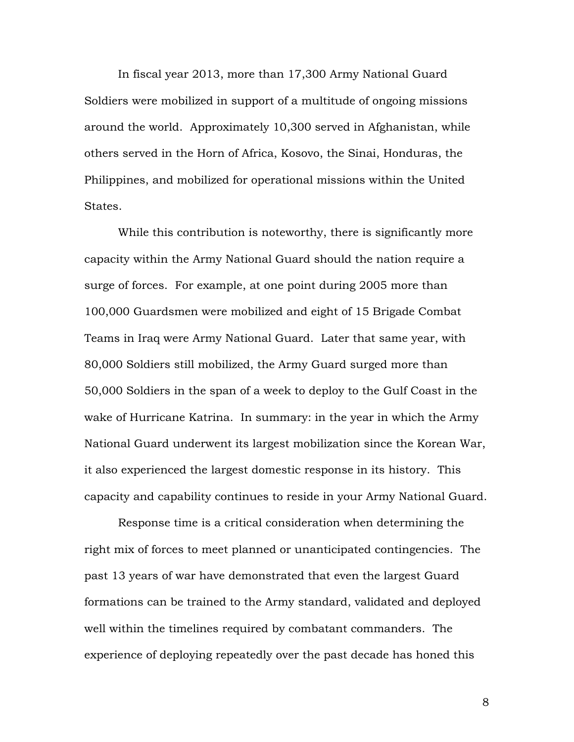In fiscal year 2013, more than 17,300 Army National Guard Soldiers were mobilized in support of a multitude of ongoing missions around the world. Approximately 10,300 served in Afghanistan, while others served in the Horn of Africa, Kosovo, the Sinai, Honduras, the Philippines, and mobilized for operational missions within the United States.

While this contribution is noteworthy, there is significantly more capacity within the Army National Guard should the nation require a surge of forces. For example, at one point during 2005 more than 100,000 Guardsmen were mobilized and eight of 15 Brigade Combat Teams in Iraq were Army National Guard. Later that same year, with 80,000 Soldiers still mobilized, the Army Guard surged more than 50,000 Soldiers in the span of a week to deploy to the Gulf Coast in the wake of Hurricane Katrina. In summary: in the year in which the Army National Guard underwent its largest mobilization since the Korean War, it also experienced the largest domestic response in its history. This capacity and capability continues to reside in your Army National Guard.

Response time is a critical consideration when determining the right mix of forces to meet planned or unanticipated contingencies. The past 13 years of war have demonstrated that even the largest Guard formations can be trained to the Army standard, validated and deployed well within the timelines required by combatant commanders. The experience of deploying repeatedly over the past decade has honed this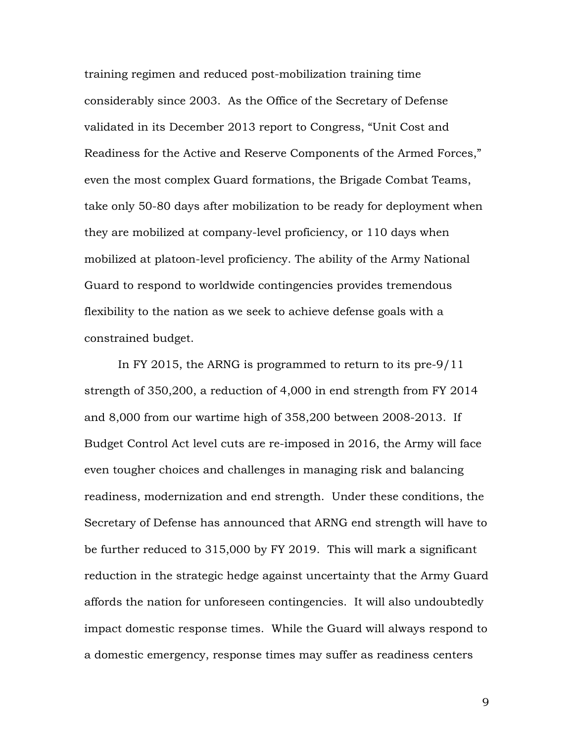training regimen and reduced post-mobilization training time considerably since 2003. As the Office of the Secretary of Defense validated in its December 2013 report to Congress, "Unit Cost and Readiness for the Active and Reserve Components of the Armed Forces," even the most complex Guard formations, the Brigade Combat Teams, take only 50-80 days after mobilization to be ready for deployment when they are mobilized at company-level proficiency, or 110 days when mobilized at platoon-level proficiency. The ability of the Army National Guard to respond to worldwide contingencies provides tremendous flexibility to the nation as we seek to achieve defense goals with a constrained budget.

In FY 2015, the ARNG is programmed to return to its pre-9/11 strength of 350,200, a reduction of 4,000 in end strength from FY 2014 and 8,000 from our wartime high of 358,200 between 2008-2013. If Budget Control Act level cuts are re-imposed in 2016, the Army will face even tougher choices and challenges in managing risk and balancing readiness, modernization and end strength. Under these conditions, the Secretary of Defense has announced that ARNG end strength will have to be further reduced to 315,000 by FY 2019. This will mark a significant reduction in the strategic hedge against uncertainty that the Army Guard affords the nation for unforeseen contingencies. It will also undoubtedly impact domestic response times. While the Guard will always respond to a domestic emergency, response times may suffer as readiness centers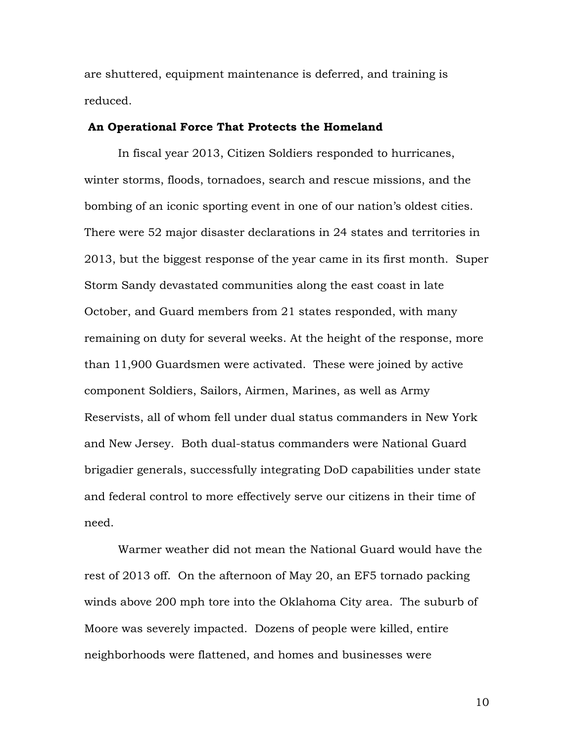are shuttered, equipment maintenance is deferred, and training is reduced.

#### **An Operational Force That Protects the Homeland**

In fiscal year 2013, Citizen Soldiers responded to hurricanes, winter storms, floods, tornadoes, search and rescue missions, and the bombing of an iconic sporting event in one of our nation's oldest cities. There were 52 major disaster declarations in 24 states and territories in 2013, but the biggest response of the year came in its first month. Super Storm Sandy devastated communities along the east coast in late October, and Guard members from 21 states responded, with many remaining on duty for several weeks. At the height of the response, more than 11,900 Guardsmen were activated. These were joined by active component Soldiers, Sailors, Airmen, Marines, as well as Army Reservists, all of whom fell under dual status commanders in New York and New Jersey. Both dual-status commanders were National Guard brigadier generals, successfully integrating DoD capabilities under state and federal control to more effectively serve our citizens in their time of need.

Warmer weather did not mean the National Guard would have the rest of 2013 off. On the afternoon of May 20, an EF5 tornado packing winds above 200 mph tore into the Oklahoma City area. The suburb of Moore was severely impacted. Dozens of people were killed, entire neighborhoods were flattened, and homes and businesses were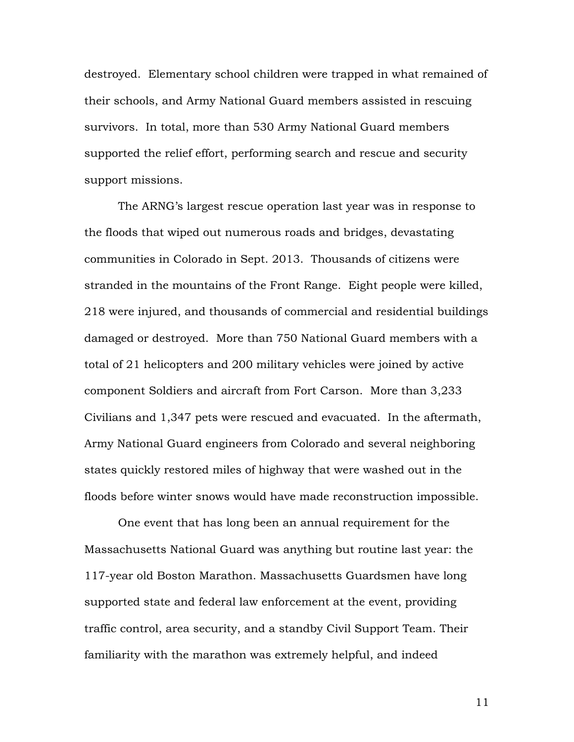destroyed. Elementary school children were trapped in what remained of their schools, and Army National Guard members assisted in rescuing survivors. In total, more than 530 Army National Guard members supported the relief effort, performing search and rescue and security support missions.

The ARNG's largest rescue operation last year was in response to the floods that wiped out numerous roads and bridges, devastating communities in Colorado in Sept. 2013. Thousands of citizens were stranded in the mountains of the Front Range. Eight people were killed, 218 were injured, and thousands of commercial and residential buildings damaged or destroyed. More than 750 National Guard members with a total of 21 helicopters and 200 military vehicles were joined by active component Soldiers and aircraft from Fort Carson. More than 3,233 Civilians and 1,347 pets were rescued and evacuated. In the aftermath, Army National Guard engineers from Colorado and several neighboring states quickly restored miles of highway that were washed out in the floods before winter snows would have made reconstruction impossible.

One event that has long been an annual requirement for the Massachusetts National Guard was anything but routine last year: the 117-year old Boston Marathon. Massachusetts Guardsmen have long supported state and federal law enforcement at the event, providing traffic control, area security, and a standby Civil Support Team. Their familiarity with the marathon was extremely helpful, and indeed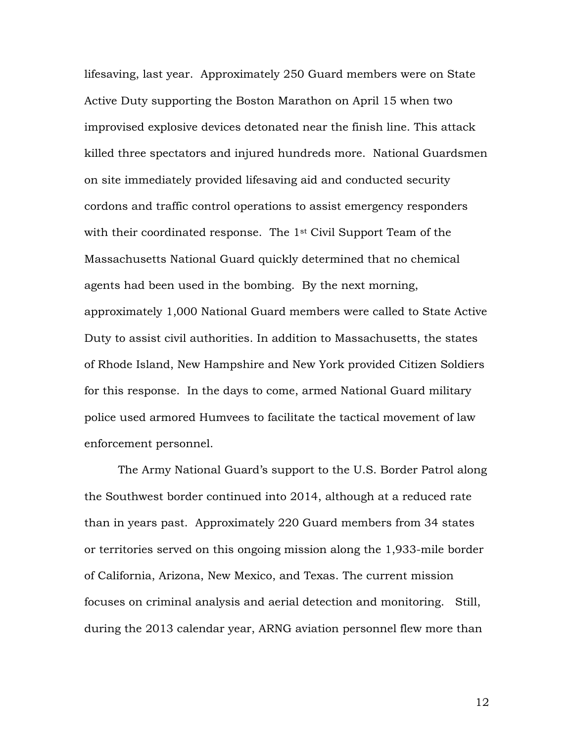lifesaving, last year. Approximately 250 Guard members were on State Active Duty supporting the Boston Marathon on April 15 when two improvised explosive devices detonated near the finish line. This attack killed three spectators and injured hundreds more. National Guardsmen on site immediately provided lifesaving aid and conducted security cordons and traffic control operations to assist emergency responders with their coordinated response. The 1<sup>st</sup> Civil Support Team of the Massachusetts National Guard quickly determined that no chemical agents had been used in the bombing. By the next morning, approximately 1,000 National Guard members were called to State Active Duty to assist civil authorities. In addition to Massachusetts, the states of Rhode Island, New Hampshire and New York provided Citizen Soldiers for this response. In the days to come, armed National Guard military police used armored Humvees to facilitate the tactical movement of law enforcement personnel.

The Army National Guard's support to the U.S. Border Patrol along the Southwest border continued into 2014, although at a reduced rate than in years past. Approximately 220 Guard members from 34 states or territories served on this ongoing mission along the 1,933-mile border of California, Arizona, New Mexico, and Texas. The current mission focuses on criminal analysis and aerial detection and monitoring. Still, during the 2013 calendar year, ARNG aviation personnel flew more than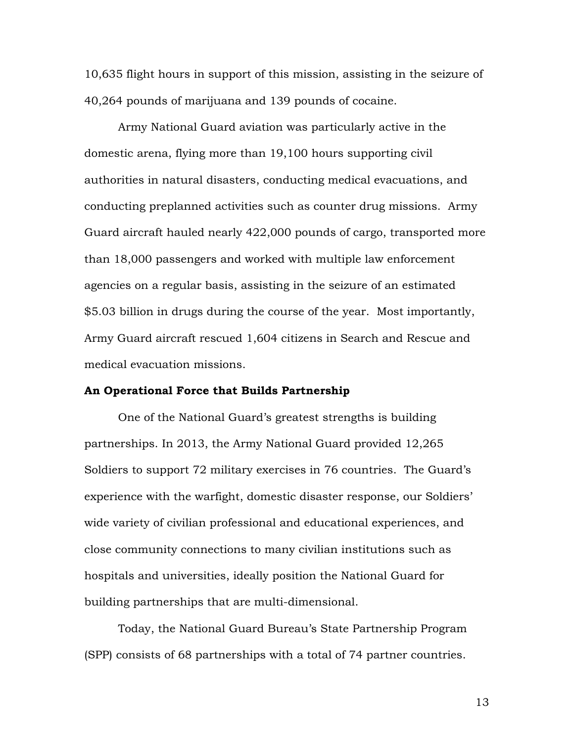10,635 flight hours in support of this mission, assisting in the seizure of 40,264 pounds of marijuana and 139 pounds of cocaine.

Army National Guard aviation was particularly active in the domestic arena, flying more than 19,100 hours supporting civil authorities in natural disasters, conducting medical evacuations, and conducting preplanned activities such as counter drug missions. Army Guard aircraft hauled nearly 422,000 pounds of cargo, transported more than 18,000 passengers and worked with multiple law enforcement agencies on a regular basis, assisting in the seizure of an estimated \$5.03 billion in drugs during the course of the year. Most importantly, Army Guard aircraft rescued 1,604 citizens in Search and Rescue and medical evacuation missions.

#### **An Operational Force that Builds Partnership**

One of the National Guard's greatest strengths is building partnerships. In 2013, the Army National Guard provided 12,265 Soldiers to support 72 military exercises in 76 countries. The Guard's experience with the warfight, domestic disaster response, our Soldiers' wide variety of civilian professional and educational experiences, and close community connections to many civilian institutions such as hospitals and universities, ideally position the National Guard for building partnerships that are multi-dimensional.

Today, the National Guard Bureau's State Partnership Program (SPP) consists of 68 partnerships with a total of 74 partner countries.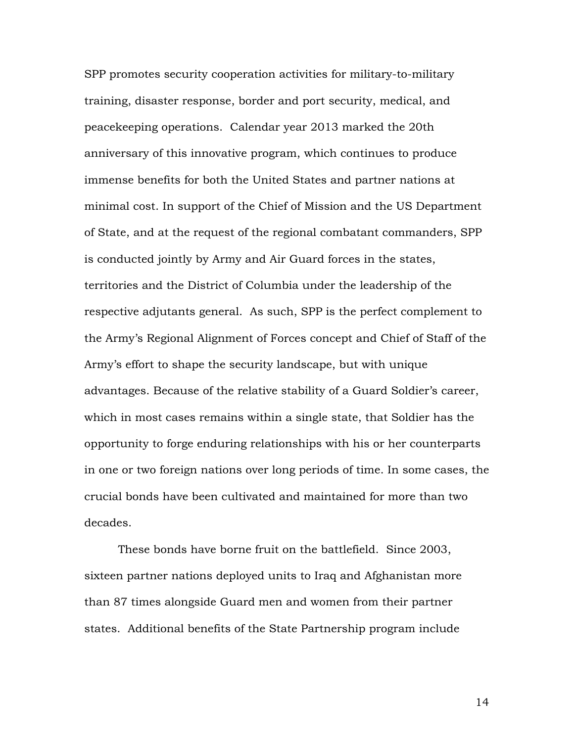SPP promotes security cooperation activities for military-to-military training, disaster response, border and port security, medical, and peacekeeping operations. Calendar year 2013 marked the 20th anniversary of this innovative program, which continues to produce immense benefits for both the United States and partner nations at minimal cost. In support of the Chief of Mission and the US Department of State, and at the request of the regional combatant commanders, SPP is conducted jointly by Army and Air Guard forces in the states, territories and the District of Columbia under the leadership of the respective adjutants general. As such, SPP is the perfect complement to the Army's Regional Alignment of Forces concept and Chief of Staff of the Army's effort to shape the security landscape, but with unique advantages. Because of the relative stability of a Guard Soldier's career, which in most cases remains within a single state, that Soldier has the opportunity to forge enduring relationships with his or her counterparts in one or two foreign nations over long periods of time. In some cases, the crucial bonds have been cultivated and maintained for more than two decades.

These bonds have borne fruit on the battlefield. Since 2003, sixteen partner nations deployed units to Iraq and Afghanistan more than 87 times alongside Guard men and women from their partner states. Additional benefits of the State Partnership program include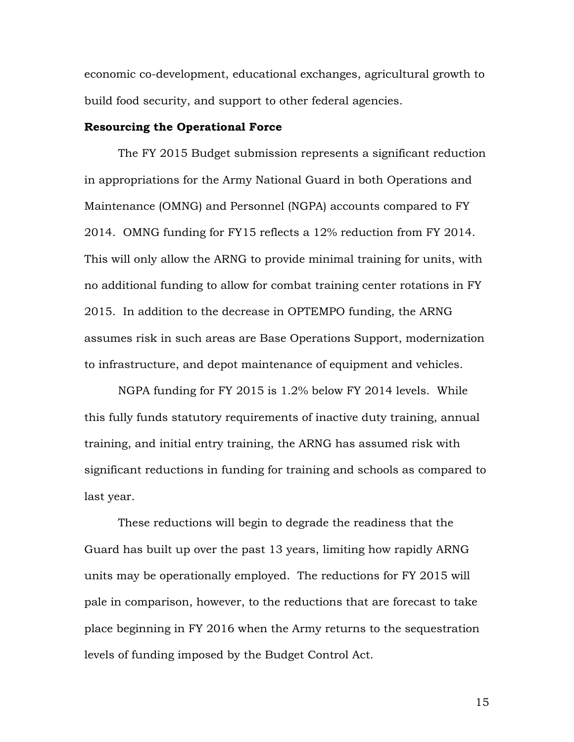economic co-development, educational exchanges, agricultural growth to build food security, and support to other federal agencies.

#### **Resourcing the Operational Force**

The FY 2015 Budget submission represents a significant reduction in appropriations for the Army National Guard in both Operations and Maintenance (OMNG) and Personnel (NGPA) accounts compared to FY 2014. OMNG funding for FY15 reflects a 12% reduction from FY 2014. This will only allow the ARNG to provide minimal training for units, with no additional funding to allow for combat training center rotations in FY 2015. In addition to the decrease in OPTEMPO funding, the ARNG assumes risk in such areas are Base Operations Support, modernization to infrastructure, and depot maintenance of equipment and vehicles.

NGPA funding for FY 2015 is 1.2% below FY 2014 levels. While this fully funds statutory requirements of inactive duty training, annual training, and initial entry training, the ARNG has assumed risk with significant reductions in funding for training and schools as compared to last year.

These reductions will begin to degrade the readiness that the Guard has built up over the past 13 years, limiting how rapidly ARNG units may be operationally employed. The reductions for FY 2015 will pale in comparison, however, to the reductions that are forecast to take place beginning in FY 2016 when the Army returns to the sequestration levels of funding imposed by the Budget Control Act.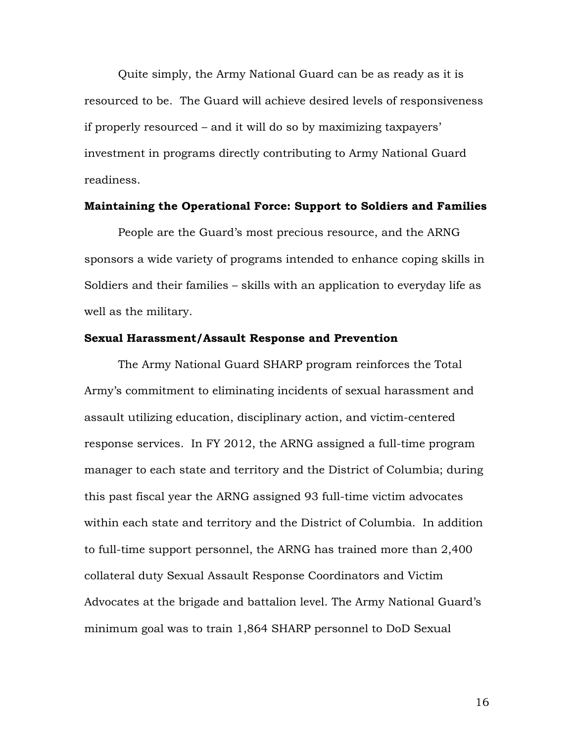Quite simply, the Army National Guard can be as ready as it is resourced to be. The Guard will achieve desired levels of responsiveness if properly resourced – and it will do so by maximizing taxpayers' investment in programs directly contributing to Army National Guard readiness.

#### **Maintaining the Operational Force: Support to Soldiers and Families**

People are the Guard's most precious resource, and the ARNG sponsors a wide variety of programs intended to enhance coping skills in Soldiers and their families – skills with an application to everyday life as well as the military.

#### **Sexual Harassment/Assault Response and Prevention**

The Army National Guard SHARP program reinforces the Total Army's commitment to eliminating incidents of sexual harassment and assault utilizing education, disciplinary action, and victim-centered response services. In FY 2012, the ARNG assigned a full-time program manager to each state and territory and the District of Columbia; during this past fiscal year the ARNG assigned 93 full-time victim advocates within each state and territory and the District of Columbia. In addition to full-time support personnel, the ARNG has trained more than 2,400 collateral duty Sexual Assault Response Coordinators and Victim Advocates at the brigade and battalion level. The Army National Guard's minimum goal was to train 1,864 SHARP personnel to DoD Sexual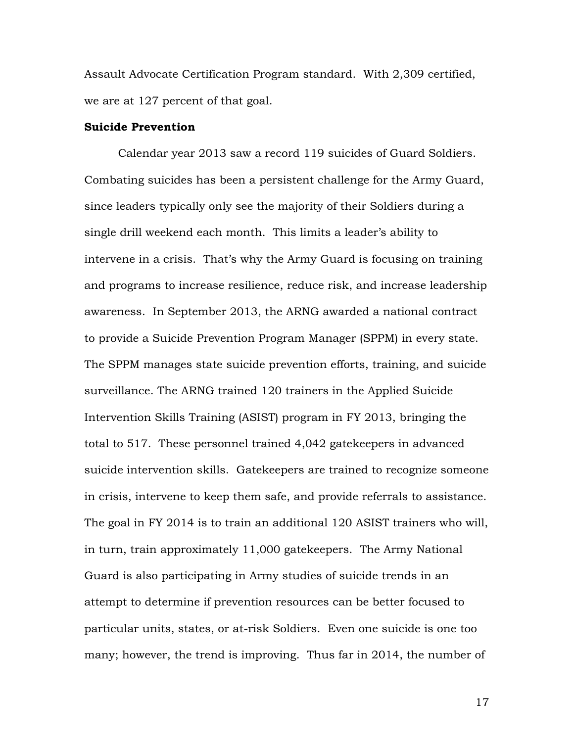Assault Advocate Certification Program standard. With 2,309 certified, we are at 127 percent of that goal.

#### **Suicide Prevention**

Calendar year 2013 saw a record 119 suicides of Guard Soldiers. Combating suicides has been a persistent challenge for the Army Guard, since leaders typically only see the majority of their Soldiers during a single drill weekend each month. This limits a leader's ability to intervene in a crisis. That's why the Army Guard is focusing on training and programs to increase resilience, reduce risk, and increase leadership awareness. In September 2013, the ARNG awarded a national contract to provide a Suicide Prevention Program Manager (SPPM) in every state. The SPPM manages state suicide prevention efforts, training, and suicide surveillance. The ARNG trained 120 trainers in the Applied Suicide Intervention Skills Training (ASIST) program in FY 2013, bringing the total to 517. These personnel trained 4,042 gatekeepers in advanced suicide intervention skills. Gatekeepers are trained to recognize someone in crisis, intervene to keep them safe, and provide referrals to assistance. The goal in FY 2014 is to train an additional 120 ASIST trainers who will, in turn, train approximately 11,000 gatekeepers. The Army National Guard is also participating in Army studies of suicide trends in an attempt to determine if prevention resources can be better focused to particular units, states, or at-risk Soldiers. Even one suicide is one too many; however, the trend is improving. Thus far in 2014, the number of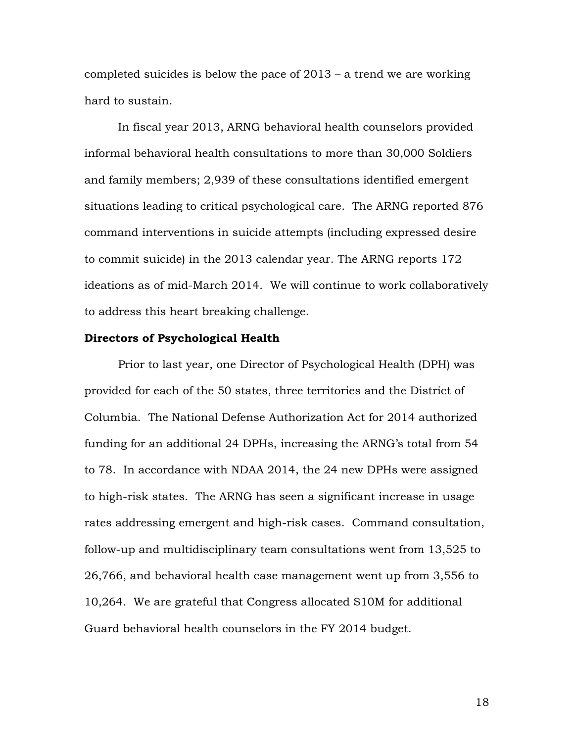completed suicides is below the pace of 2013 – a trend we are working hard to sustain.

In fiscal year 2013, ARNG behavioral health counselors provided informal behavioral health consultations to more than 30,000 Soldiers and family members; 2,939 of these consultations identified emergent situations leading to critical psychological care. The ARNG reported 876 command interventions in suicide attempts (including expressed desire to commit suicide) in the 2013 calendar year. The ARNG reports 172 ideations as of mid-March 2014. We will continue to work collaboratively to address this heart breaking challenge.

#### **Directors of Psychological Health**

Prior to last year, one Director of Psychological Health (DPH) was provided for each of the 50 states, three territories and the District of Columbia. The National Defense Authorization Act for 2014 authorized funding for an additional 24 DPHs, increasing the ARNG's total from 54 to 78. In accordance with NDAA 2014, the 24 new DPHs were assigned to high-risk states. The ARNG has seen a significant increase in usage rates addressing emergent and high-risk cases. Command consultation, follow-up and multidisciplinary team consultations went from 13,525 to 26,766, and behavioral health case management went up from 3,556 to 10,264. We are grateful that Congress allocated \$10M for additional Guard behavioral health counselors in the FY 2014 budget.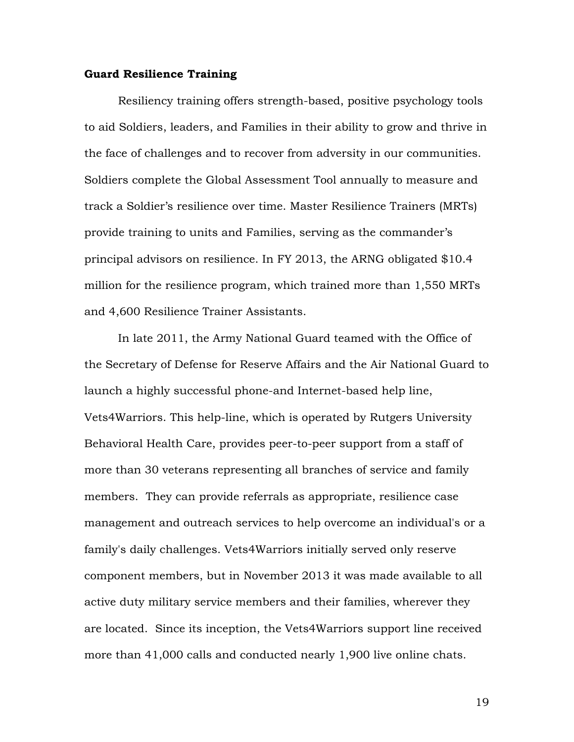#### **Guard Resilience Training**

Resiliency training offers strength-based, positive psychology tools to aid Soldiers, leaders, and Families in their ability to grow and thrive in the face of challenges and to recover from adversity in our communities. Soldiers complete the Global Assessment Tool annually to measure and track a Soldier's resilience over time. Master Resilience Trainers (MRTs) provide training to units and Families, serving as the commander's principal advisors on resilience. In FY 2013, the ARNG obligated \$10.4 million for the resilience program, which trained more than 1,550 MRTs and 4,600 Resilience Trainer Assistants.

In late 2011, the Army National Guard teamed with the Office of the Secretary of Defense for Reserve Affairs and the Air National Guard to launch a highly successful phone-and Internet-based help line, Vets4Warriors. This help-line, which is operated by Rutgers University Behavioral Health Care, provides peer-to-peer support from a staff of more than 30 veterans representing all branches of service and family members. They can provide referrals as appropriate, resilience case management and outreach services to help overcome an individual's or a family's daily challenges. Vets4Warriors initially served only reserve component members, but in November 2013 it was made available to all active duty military service members and their families, wherever they are located. Since its inception, the Vets4Warriors support line received more than 41,000 calls and conducted nearly 1,900 live online chats.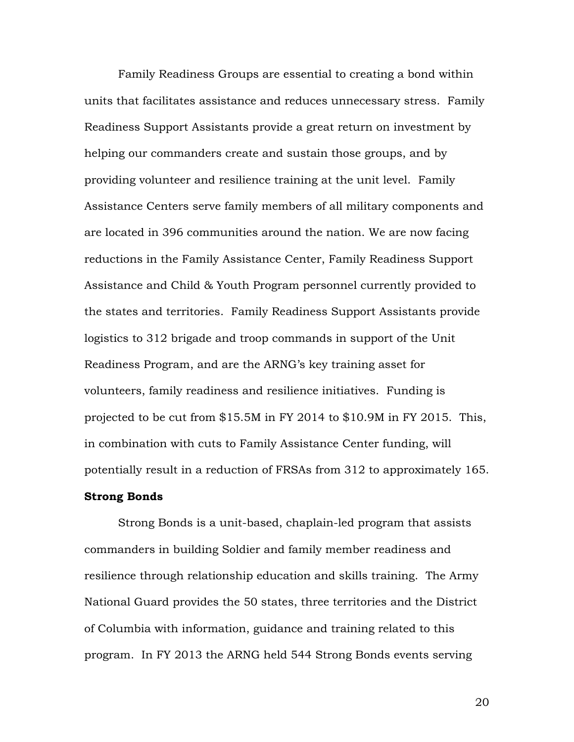Family Readiness Groups are essential to creating a bond within units that facilitates assistance and reduces unnecessary stress. Family Readiness Support Assistants provide a great return on investment by helping our commanders create and sustain those groups, and by providing volunteer and resilience training at the unit level. Family Assistance Centers serve family members of all military components and are located in 396 communities around the nation. We are now facing reductions in the Family Assistance Center, Family Readiness Support Assistance and Child & Youth Program personnel currently provided to the states and territories. Family Readiness Support Assistants provide logistics to 312 brigade and troop commands in support of the Unit Readiness Program, and are the ARNG's key training asset for volunteers, family readiness and resilience initiatives. Funding is projected to be cut from \$15.5M in FY 2014 to \$10.9M in FY 2015. This, in combination with cuts to Family Assistance Center funding, will potentially result in a reduction of FRSAs from 312 to approximately 165.

#### **Strong Bonds**

Strong Bonds is a unit-based, chaplain-led program that assists commanders in building Soldier and family member readiness and resilience through relationship education and skills training. The Army National Guard provides the 50 states, three territories and the District of Columbia with information, guidance and training related to this program. In FY 2013 the ARNG held 544 Strong Bonds events serving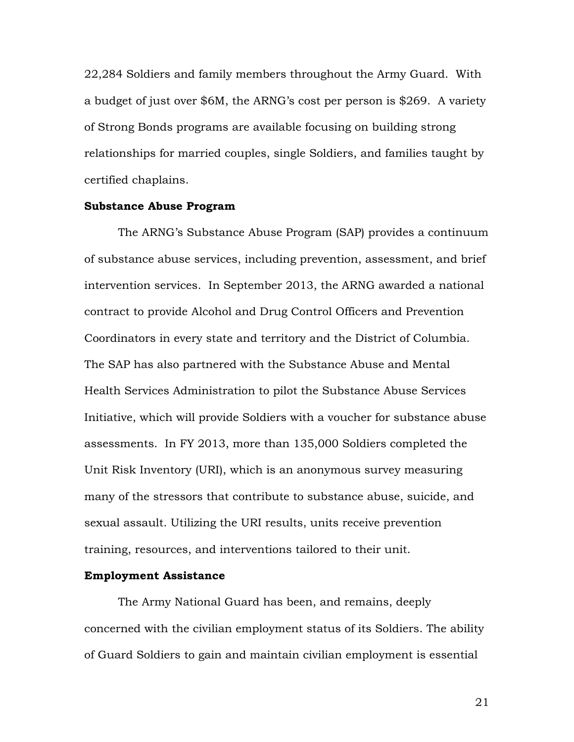22,284 Soldiers and family members throughout the Army Guard. With a budget of just over \$6M, the ARNG's cost per person is \$269. A variety of Strong Bonds programs are available focusing on building strong relationships for married couples, single Soldiers, and families taught by certified chaplains.

#### **Substance Abuse Program**

The ARNG's Substance Abuse Program (SAP) provides a continuum of substance abuse services, including prevention, assessment, and brief intervention services. In September 2013, the ARNG awarded a national contract to provide Alcohol and Drug Control Officers and Prevention Coordinators in every state and territory and the District of Columbia. The SAP has also partnered with the Substance Abuse and Mental Health Services Administration to pilot the Substance Abuse Services Initiative, which will provide Soldiers with a voucher for substance abuse assessments. In FY 2013, more than 135,000 Soldiers completed the Unit Risk Inventory (URI), which is an anonymous survey measuring many of the stressors that contribute to substance abuse, suicide, and sexual assault. Utilizing the URI results, units receive prevention training, resources, and interventions tailored to their unit.

#### **Employment Assistance**

The Army National Guard has been, and remains, deeply concerned with the civilian employment status of its Soldiers. The ability of Guard Soldiers to gain and maintain civilian employment is essential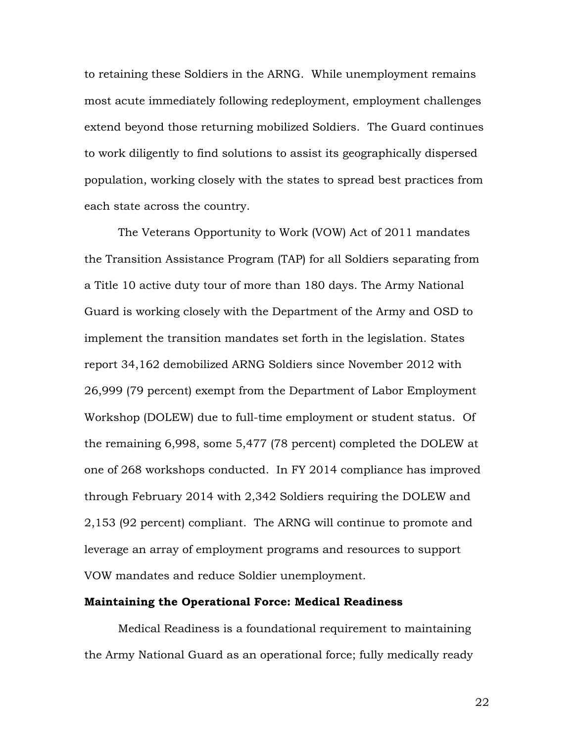to retaining these Soldiers in the ARNG. While unemployment remains most acute immediately following redeployment, employment challenges extend beyond those returning mobilized Soldiers. The Guard continues to work diligently to find solutions to assist its geographically dispersed population, working closely with the states to spread best practices from each state across the country.

The Veterans Opportunity to Work (VOW) Act of 2011 mandates the Transition Assistance Program (TAP) for all Soldiers separating from a Title 10 active duty tour of more than 180 days. The Army National Guard is working closely with the Department of the Army and OSD to implement the transition mandates set forth in the legislation. States report 34,162 demobilized ARNG Soldiers since November 2012 with 26,999 (79 percent) exempt from the Department of Labor Employment Workshop (DOLEW) due to full-time employment or student status. Of the remaining 6,998, some 5,477 (78 percent) completed the DOLEW at one of 268 workshops conducted. In FY 2014 compliance has improved through February 2014 with 2,342 Soldiers requiring the DOLEW and 2,153 (92 percent) compliant. The ARNG will continue to promote and leverage an array of employment programs and resources to support VOW mandates and reduce Soldier unemployment.

#### **Maintaining the Operational Force: Medical Readiness**

Medical Readiness is a foundational requirement to maintaining the Army National Guard as an operational force; fully medically ready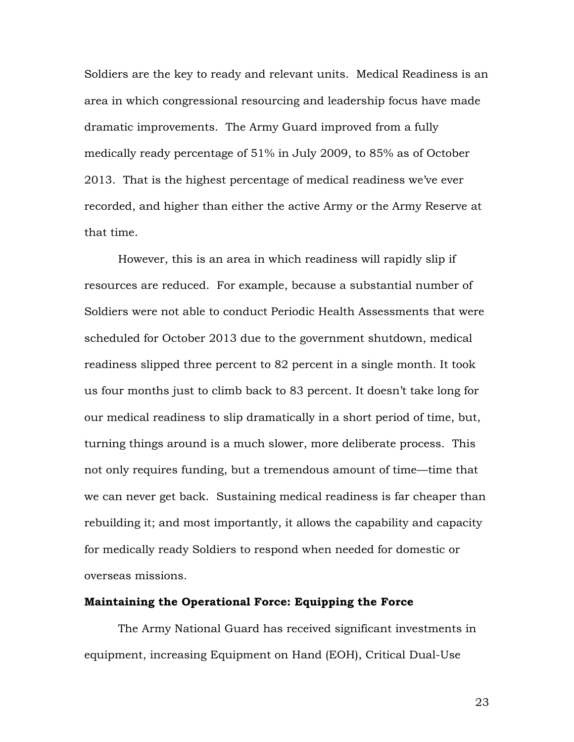Soldiers are the key to ready and relevant units. Medical Readiness is an area in which congressional resourcing and leadership focus have made dramatic improvements. The Army Guard improved from a fully medically ready percentage of 51% in July 2009, to 85% as of October 2013. That is the highest percentage of medical readiness we've ever recorded, and higher than either the active Army or the Army Reserve at that time.

However, this is an area in which readiness will rapidly slip if resources are reduced. For example, because a substantial number of Soldiers were not able to conduct Periodic Health Assessments that were scheduled for October 2013 due to the government shutdown, medical readiness slipped three percent to 82 percent in a single month. It took us four months just to climb back to 83 percent. It doesn't take long for our medical readiness to slip dramatically in a short period of time, but, turning things around is a much slower, more deliberate process. This not only requires funding, but a tremendous amount of time—time that we can never get back. Sustaining medical readiness is far cheaper than rebuilding it; and most importantly, it allows the capability and capacity for medically ready Soldiers to respond when needed for domestic or overseas missions.

#### **Maintaining the Operational Force: Equipping the Force**

The Army National Guard has received significant investments in equipment, increasing Equipment on Hand (EOH), Critical Dual-Use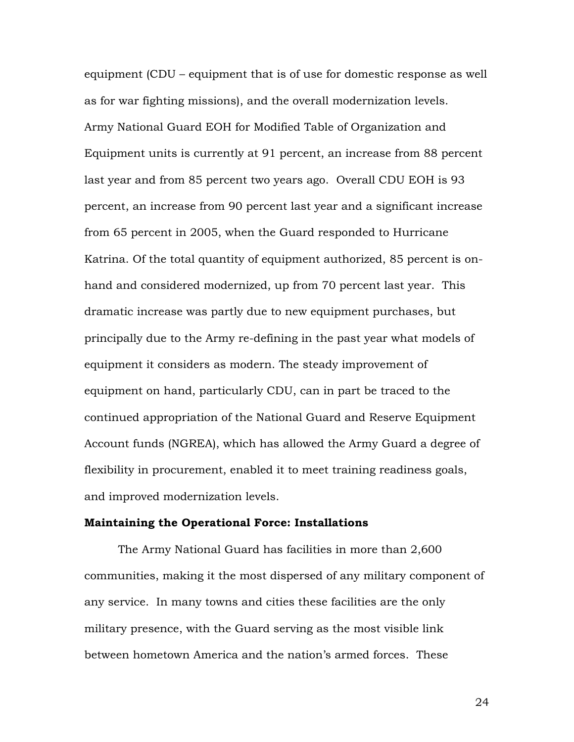equipment (CDU – equipment that is of use for domestic response as well as for war fighting missions), and the overall modernization levels. Army National Guard EOH for Modified Table of Organization and Equipment units is currently at 91 percent, an increase from 88 percent last year and from 85 percent two years ago. Overall CDU EOH is 93 percent, an increase from 90 percent last year and a significant increase from 65 percent in 2005, when the Guard responded to Hurricane Katrina. Of the total quantity of equipment authorized, 85 percent is onhand and considered modernized, up from 70 percent last year. This dramatic increase was partly due to new equipment purchases, but principally due to the Army re-defining in the past year what models of equipment it considers as modern. The steady improvement of equipment on hand, particularly CDU, can in part be traced to the continued appropriation of the National Guard and Reserve Equipment Account funds (NGREA), which has allowed the Army Guard a degree of flexibility in procurement, enabled it to meet training readiness goals, and improved modernization levels.

#### **Maintaining the Operational Force: Installations**

The Army National Guard has facilities in more than 2,600 communities, making it the most dispersed of any military component of any service. In many towns and cities these facilities are the only military presence, with the Guard serving as the most visible link between hometown America and the nation's armed forces. These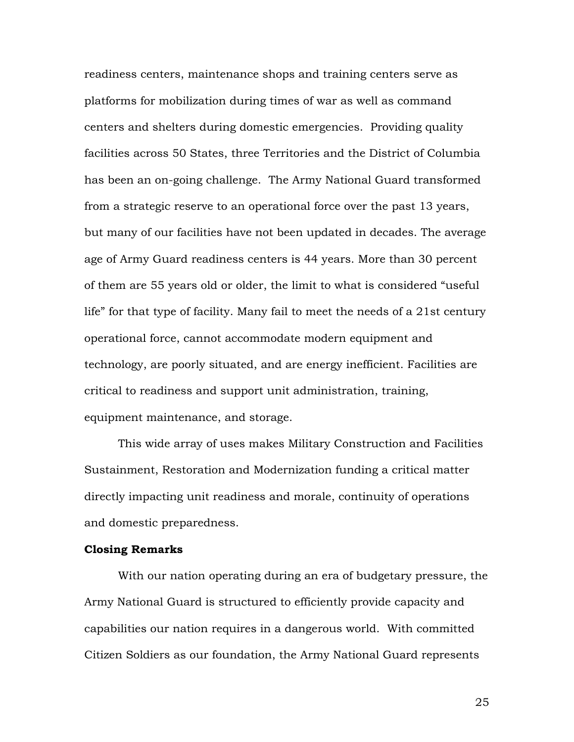readiness centers, maintenance shops and training centers serve as platforms for mobilization during times of war as well as command centers and shelters during domestic emergencies. Providing quality facilities across 50 States, three Territories and the District of Columbia has been an on-going challenge. The Army National Guard transformed from a strategic reserve to an operational force over the past 13 years, but many of our facilities have not been updated in decades. The average age of Army Guard readiness centers is 44 years. More than 30 percent of them are 55 years old or older, the limit to what is considered "useful life" for that type of facility. Many fail to meet the needs of a 21st century operational force, cannot accommodate modern equipment and technology, are poorly situated, and are energy inefficient. Facilities are critical to readiness and support unit administration, training, equipment maintenance, and storage.

This wide array of uses makes Military Construction and Facilities Sustainment, Restoration and Modernization funding a critical matter directly impacting unit readiness and morale, continuity of operations and domestic preparedness.

#### **Closing Remarks**

With our nation operating during an era of budgetary pressure, the Army National Guard is structured to efficiently provide capacity and capabilities our nation requires in a dangerous world. With committed Citizen Soldiers as our foundation, the Army National Guard represents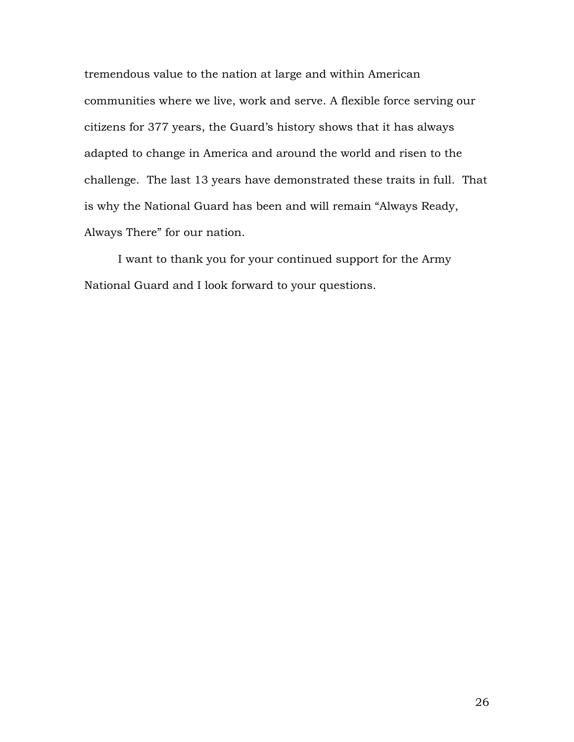tremendous value to the nation at large and within American communities where we live, work and serve. A flexible force serving our citizens for 377 years, the Guard's history shows that it has always adapted to change in America and around the world and risen to the challenge. The last 13 years have demonstrated these traits in full. That is why the National Guard has been and will remain "Always Ready, Always There" for our nation.

I want to thank you for your continued support for the Army National Guard and I look forward to your questions.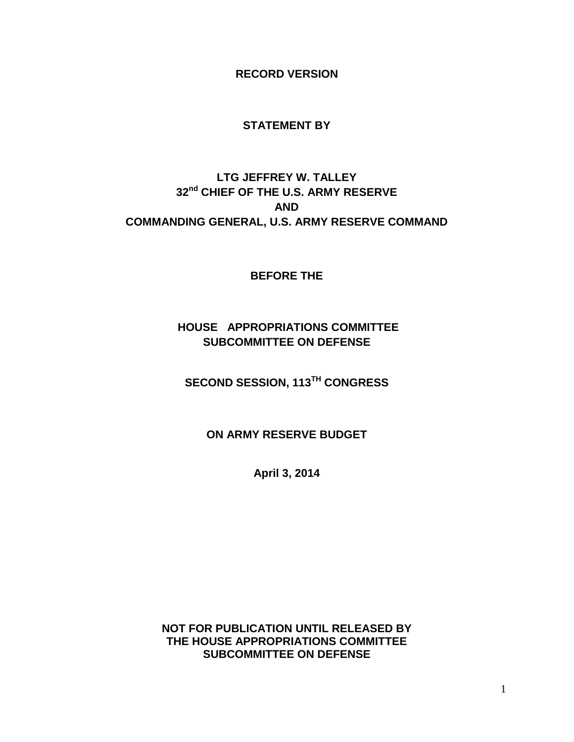**RECORD VERSION**

### **STATEMENT BY**

# **LTG JEFFREY W. TALLEY 32nd CHIEF OF THE U.S. ARMY RESERVE AND COMMANDING GENERAL, U.S. ARMY RESERVE COMMAND**

**BEFORE THE** 

## **HOUSE APPROPRIATIONS COMMITTEE SUBCOMMITTEE ON DEFENSE**

**SECOND SESSION, 113TH CONGRESS**

**ON ARMY RESERVE BUDGET**

**April 3, 2014** 

**NOT FOR PUBLICATION UNTIL RELEASED BY THE HOUSE APPROPRIATIONS COMMITTEE SUBCOMMITTEE ON DEFENSE**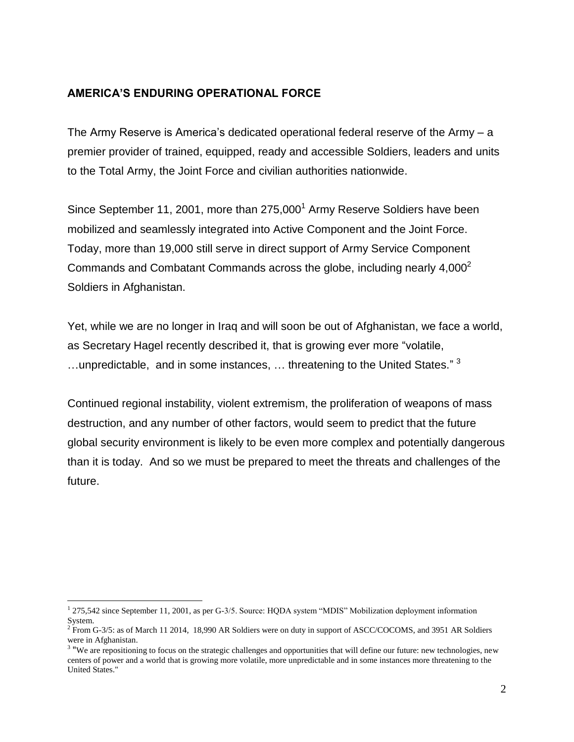### **AMERICA'S ENDURING OPERATIONAL FORCE**

The Army Reserve is America's dedicated operational federal reserve of the Army – a premier provider of trained, equipped, ready and accessible Soldiers, leaders and units to the Total Army, the Joint Force and civilian authorities nationwide.

Since September 11, 2001, more than  $275,000<sup>1</sup>$  Army Reserve Soldiers have been mobilized and seamlessly integrated into Active Component and the Joint Force. Today, more than 19,000 still serve in direct support of Army Service Component Commands and Combatant Commands across the globe, including nearly  $4,000<sup>2</sup>$ Soldiers in Afghanistan.

Yet, while we are no longer in Iraq and will soon be out of Afghanistan, we face a world, as Secretary Hagel recently described it, that is growing ever more "volatile, ...unpredictable, and in some instances,  $\ldots$  threatening to the United States."  $^3$ 

Continued regional instability, violent extremism, the proliferation of weapons of mass destruction, and any number of other factors, would seem to predict that the future global security environment is likely to be even more complex and potentially dangerous than it is today. And so we must be prepared to meet the threats and challenges of the future.

 $\overline{a}$ 

<sup>&</sup>lt;sup>1</sup> 275,542 since September 11, 2001, as per G-3/5. Source: HQDA system "MDIS" Mobilization deployment information System.

<sup>&</sup>lt;sup>2</sup> From G-3/5: as of March 11 2014, 18,990 AR Soldiers were on duty in support of ASCC/COCOMS, and 3951 AR Soldiers were in Afghanistan.

<sup>&</sup>lt;sup>3</sup> "We are repositioning to focus on the strategic challenges and opportunities that will define our future: new technologies, new centers of power and a world that is growing more volatile, more unpredictable and in some instances more threatening to the United States."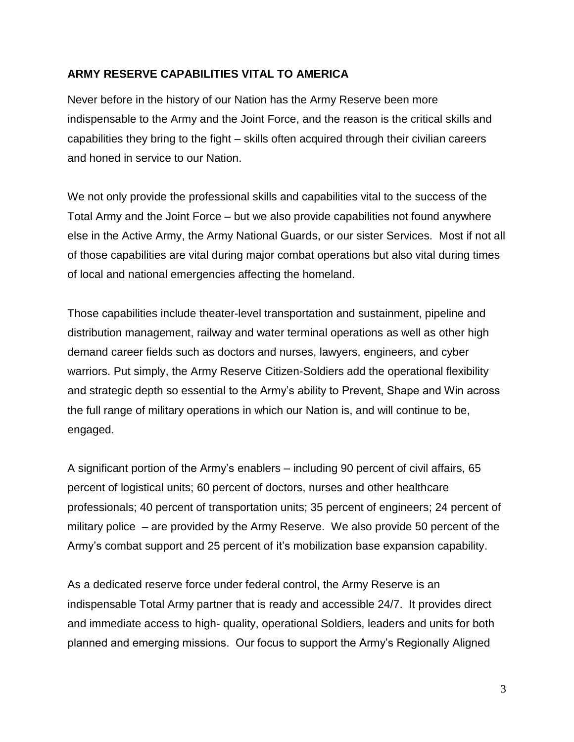### **ARMY RESERVE CAPABILITIES VITAL TO AMERICA**

Never before in the history of our Nation has the Army Reserve been more indispensable to the Army and the Joint Force, and the reason is the critical skills and capabilities they bring to the fight – skills often acquired through their civilian careers and honed in service to our Nation.

We not only provide the professional skills and capabilities vital to the success of the Total Army and the Joint Force – but we also provide capabilities not found anywhere else in the Active Army, the Army National Guards, or our sister Services. Most if not all of those capabilities are vital during major combat operations but also vital during times of local and national emergencies affecting the homeland.

Those capabilities include theater-level transportation and sustainment, pipeline and distribution management, railway and water terminal operations as well as other high demand career fields such as doctors and nurses, lawyers, engineers, and cyber warriors. Put simply, the Army Reserve Citizen-Soldiers add the operational flexibility and strategic depth so essential to the Army's ability to Prevent, Shape and Win across the full range of military operations in which our Nation is, and will continue to be, engaged.

A significant portion of the Army's enablers – including 90 percent of civil affairs, 65 percent of logistical units; 60 percent of doctors, nurses and other healthcare professionals; 40 percent of transportation units; 35 percent of engineers; 24 percent of military police – are provided by the Army Reserve. We also provide 50 percent of the Army's combat support and 25 percent of it's mobilization base expansion capability.

As a dedicated reserve force under federal control, the Army Reserve is an indispensable Total Army partner that is ready and accessible 24/7. It provides direct and immediate access to high- quality, operational Soldiers, leaders and units for both planned and emerging missions. Our focus to support the Army's Regionally Aligned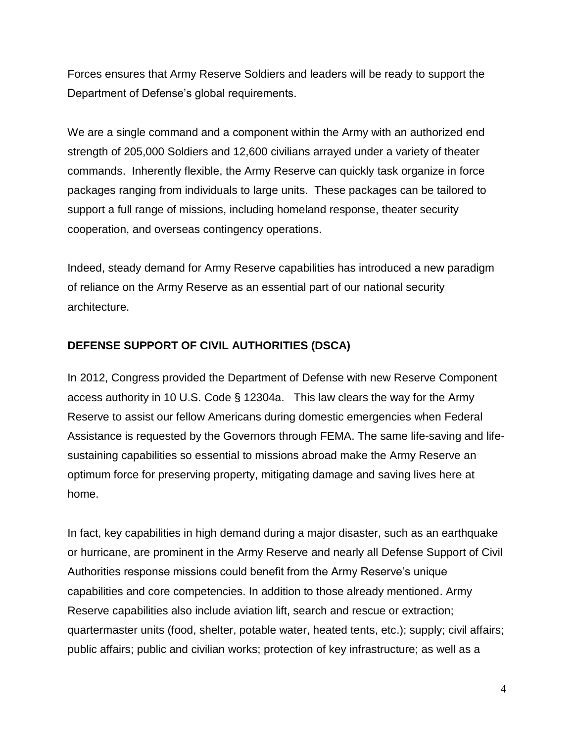Forces ensures that Army Reserve Soldiers and leaders will be ready to support the Department of Defense's global requirements.

We are a single command and a component within the Army with an authorized end strength of 205,000 Soldiers and 12,600 civilians arrayed under a variety of theater commands. Inherently flexible, the Army Reserve can quickly task organize in force packages ranging from individuals to large units. These packages can be tailored to support a full range of missions, including homeland response, theater security cooperation, and overseas contingency operations.

Indeed, steady demand for Army Reserve capabilities has introduced a new paradigm of reliance on the Army Reserve as an essential part of our national security architecture.

## **DEFENSE SUPPORT OF CIVIL AUTHORITIES (DSCA)**

In 2012, Congress provided the Department of Defense with new Reserve Component access authority in 10 U.S. Code § 12304a. This law clears the way for the Army Reserve to assist our fellow Americans during domestic emergencies when Federal Assistance is requested by the Governors through FEMA. The same life-saving and lifesustaining capabilities so essential to missions abroad make the Army Reserve an optimum force for preserving property, mitigating damage and saving lives here at home.

In fact, key capabilities in high demand during a major disaster, such as an earthquake or hurricane, are prominent in the Army Reserve and nearly all Defense Support of Civil Authorities response missions could benefit from the Army Reserve's unique capabilities and core competencies. In addition to those already mentioned. Army Reserve capabilities also include aviation lift, search and rescue or extraction; quartermaster units (food, shelter, potable water, heated tents, etc.); supply; civil affairs; public affairs; public and civilian works; protection of key infrastructure; as well as a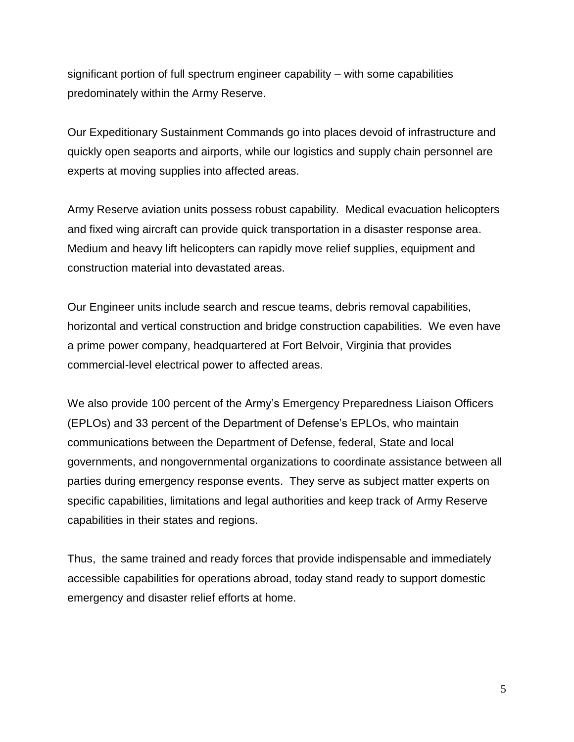significant portion of full spectrum engineer capability – with some capabilities predominately within the Army Reserve.

Our Expeditionary Sustainment Commands go into places devoid of infrastructure and quickly open seaports and airports, while our logistics and supply chain personnel are experts at moving supplies into affected areas.

Army Reserve aviation units possess robust capability. Medical evacuation helicopters and fixed wing aircraft can provide quick transportation in a disaster response area. Medium and heavy lift helicopters can rapidly move relief supplies, equipment and construction material into devastated areas.

Our Engineer units include search and rescue teams, debris removal capabilities, horizontal and vertical construction and bridge construction capabilities. We even have a prime power company, headquartered at Fort Belvoir, Virginia that provides commercial-level electrical power to affected areas.

We also provide 100 percent of the Army's Emergency Preparedness Liaison Officers (EPLOs) and 33 percent of the Department of Defense's EPLOs, who maintain communications between the Department of Defense, federal, State and local governments, and nongovernmental organizations to coordinate assistance between all parties during emergency response events. They serve as subject matter experts on specific capabilities, limitations and legal authorities and keep track of Army Reserve capabilities in their states and regions.

Thus, the same trained and ready forces that provide indispensable and immediately accessible capabilities for operations abroad, today stand ready to support domestic emergency and disaster relief efforts at home.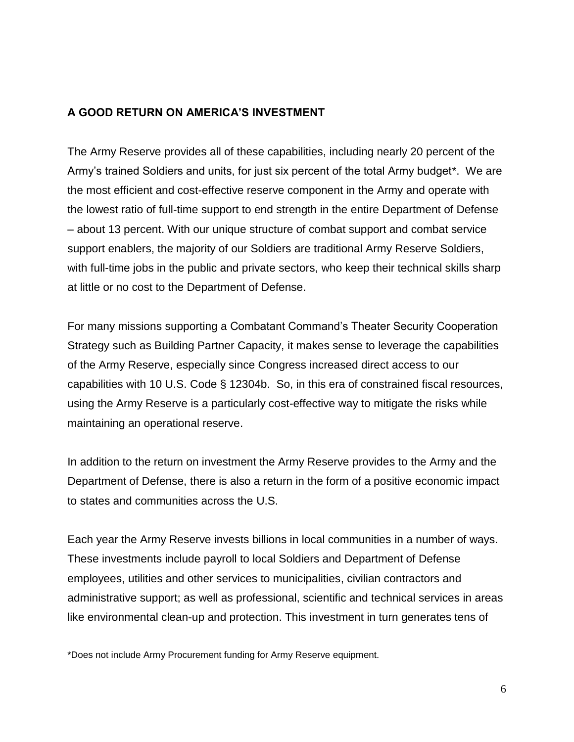### **A GOOD RETURN ON AMERICA'S INVESTMENT**

The Army Reserve provides all of these capabilities, including nearly 20 percent of the Army's trained Soldiers and units, for just six percent of the total Army budget\*. We are the most efficient and cost-effective reserve component in the Army and operate with the lowest ratio of full-time support to end strength in the entire Department of Defense – about 13 percent. With our unique structure of combat support and combat service support enablers, the majority of our Soldiers are traditional Army Reserve Soldiers, with full-time jobs in the public and private sectors, who keep their technical skills sharp at little or no cost to the Department of Defense.

For many missions supporting a Combatant Command's Theater Security Cooperation Strategy such as Building Partner Capacity, it makes sense to leverage the capabilities of the Army Reserve, especially since Congress increased direct access to our capabilities with 10 U.S. Code § 12304b. So, in this era of constrained fiscal resources, using the Army Reserve is a particularly cost-effective way to mitigate the risks while maintaining an operational reserve.

In addition to the return on investment the Army Reserve provides to the Army and the Department of Defense, there is also a return in the form of a positive economic impact to states and communities across the U.S.

Each year the Army Reserve invests billions in local communities in a number of ways. These investments include payroll to local Soldiers and Department of Defense employees, utilities and other services to municipalities, civilian contractors and administrative support; as well as professional, scientific and technical services in areas like environmental clean-up and protection. This investment in turn generates tens of

\*Does not include Army Procurement funding for Army Reserve equipment.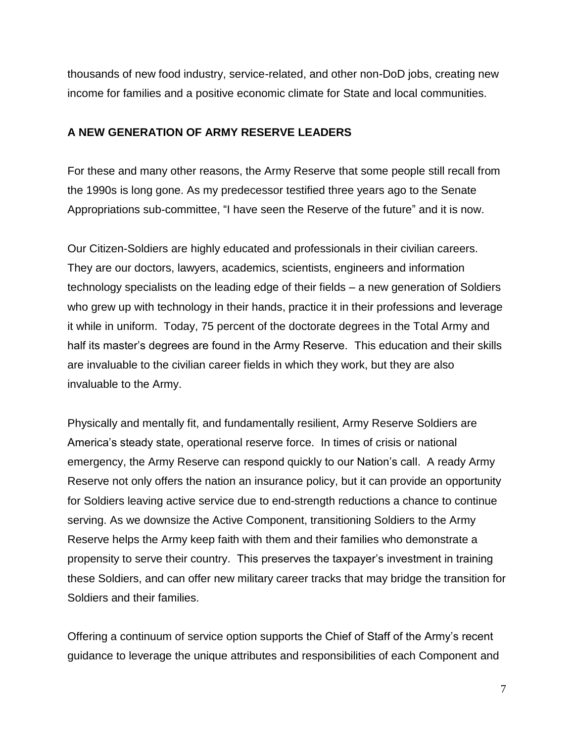thousands of new food industry, service-related, and other non-DoD jobs, creating new income for families and a positive economic climate for State and local communities.

#### **A NEW GENERATION OF ARMY RESERVE LEADERS**

For these and many other reasons, the Army Reserve that some people still recall from the 1990s is long gone. As my predecessor testified three years ago to the Senate Appropriations sub-committee, "I have seen the Reserve of the future" and it is now.

Our Citizen-Soldiers are highly educated and professionals in their civilian careers. They are our doctors, lawyers, academics, scientists, engineers and information technology specialists on the leading edge of their fields – a new generation of Soldiers who grew up with technology in their hands, practice it in their professions and leverage it while in uniform. Today, 75 percent of the doctorate degrees in the Total Army and half its master's degrees are found in the Army Reserve. This education and their skills are invaluable to the civilian career fields in which they work, but they are also invaluable to the Army.

Physically and mentally fit, and fundamentally resilient, Army Reserve Soldiers are America's steady state, operational reserve force. In times of crisis or national emergency, the Army Reserve can respond quickly to our Nation's call. A ready Army Reserve not only offers the nation an insurance policy, but it can provide an opportunity for Soldiers leaving active service due to end-strength reductions a chance to continue serving. As we downsize the Active Component, transitioning Soldiers to the Army Reserve helps the Army keep faith with them and their families who demonstrate a propensity to serve their country. This preserves the taxpayer's investment in training these Soldiers, and can offer new military career tracks that may bridge the transition for Soldiers and their families.

Offering a continuum of service option supports the Chief of Staff of the Army's recent guidance to leverage the unique attributes and responsibilities of each Component and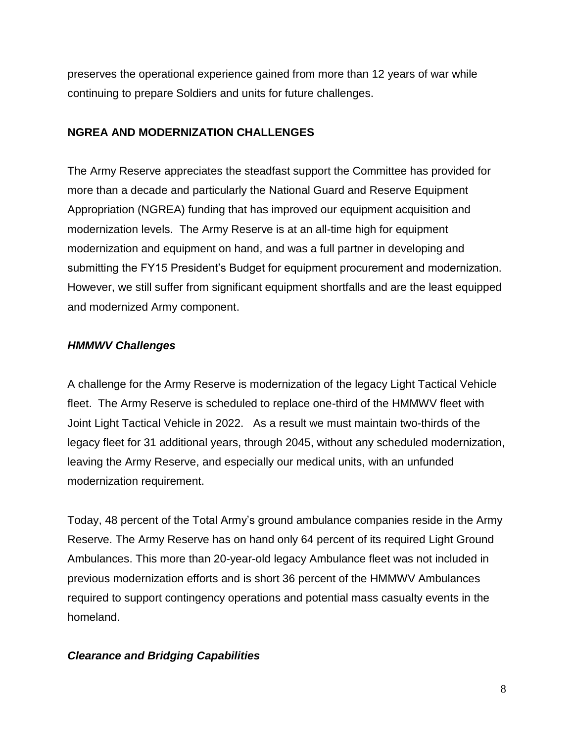preserves the operational experience gained from more than 12 years of war while continuing to prepare Soldiers and units for future challenges.

## **NGREA AND MODERNIZATION CHALLENGES**

The Army Reserve appreciates the steadfast support the Committee has provided for more than a decade and particularly the National Guard and Reserve Equipment Appropriation (NGREA) funding that has improved our equipment acquisition and modernization levels. The Army Reserve is at an all-time high for equipment modernization and equipment on hand, and was a full partner in developing and submitting the FY15 President's Budget for equipment procurement and modernization. However, we still suffer from significant equipment shortfalls and are the least equipped and modernized Army component.

# *HMMWV Challenges*

A challenge for the Army Reserve is modernization of the legacy Light Tactical Vehicle fleet. The Army Reserve is scheduled to replace one-third of the HMMWV fleet with Joint Light Tactical Vehicle in 2022. As a result we must maintain two-thirds of the legacy fleet for 31 additional years, through 2045, without any scheduled modernization, leaving the Army Reserve, and especially our medical units, with an unfunded modernization requirement.

Today, 48 percent of the Total Army's ground ambulance companies reside in the Army Reserve. The Army Reserve has on hand only 64 percent of its required Light Ground Ambulances. This more than 20-year-old legacy Ambulance fleet was not included in previous modernization efforts and is short 36 percent of the HMMWV Ambulances required to support contingency operations and potential mass casualty events in the homeland.

# *Clearance and Bridging Capabilities*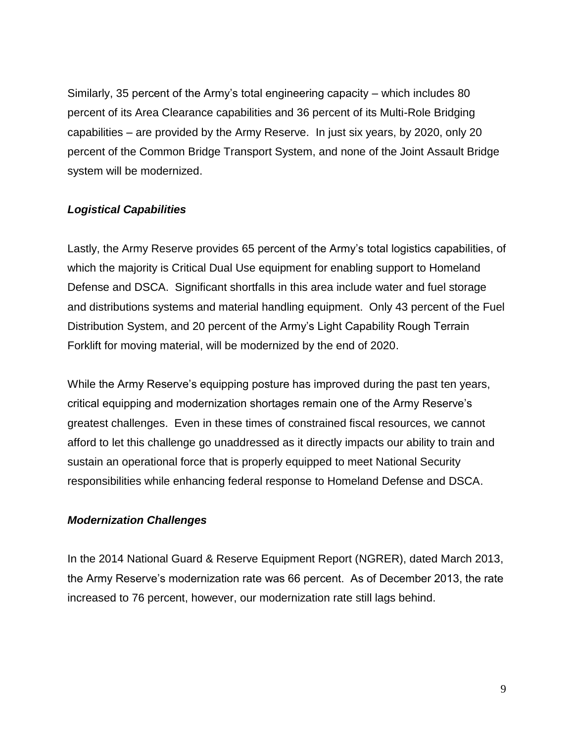Similarly, 35 percent of the Army's total engineering capacity – which includes 80 percent of its Area Clearance capabilities and 36 percent of its Multi-Role Bridging capabilities – are provided by the Army Reserve. In just six years, by 2020, only 20 percent of the Common Bridge Transport System, and none of the Joint Assault Bridge system will be modernized.

## *Logistical Capabilities*

Lastly, the Army Reserve provides 65 percent of the Army's total logistics capabilities, of which the majority is Critical Dual Use equipment for enabling support to Homeland Defense and DSCA. Significant shortfalls in this area include water and fuel storage and distributions systems and material handling equipment. Only 43 percent of the Fuel Distribution System, and 20 percent of the Army's Light Capability Rough Terrain Forklift for moving material, will be modernized by the end of 2020.

While the Army Reserve's equipping posture has improved during the past ten years, critical equipping and modernization shortages remain one of the Army Reserve's greatest challenges. Even in these times of constrained fiscal resources, we cannot afford to let this challenge go unaddressed as it directly impacts our ability to train and sustain an operational force that is properly equipped to meet National Security responsibilities while enhancing federal response to Homeland Defense and DSCA.

#### *Modernization Challenges*

In the 2014 National Guard & Reserve Equipment Report (NGRER), dated March 2013, the Army Reserve's modernization rate was 66 percent. As of December 2013, the rate increased to 76 percent, however, our modernization rate still lags behind.